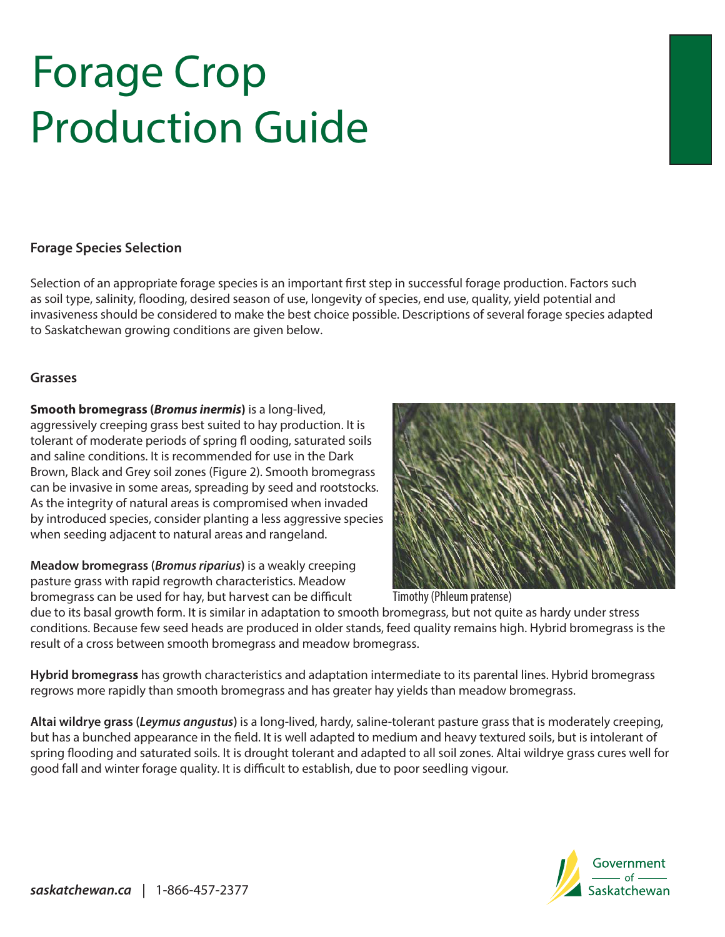# 2014 Forage Crop 2014 Forage Crop **Production Guide**

## **Forage Species Selection Forage Species Selection**

Selection of an appropriate forage species is an important first step in successful forage production. Factors such as soil type, salinity, flooding, desired season of use, longevity of species, end use, quality, yield potential and invasiveness should be considered to make the best choice possible. Descriptions of several forage species adapted to Saskatchewan growing conditions are given below.

#### **Grasses** to Saskatchewan growing conditions are given below. Refer to the fact sheet *Forages – Relative Cultivar Yields* for

**Smooth bromegrass (***Bromus inermis***)** is a long-lived, **Smooth bromegrass (***Bromus inermis***)** is a long-lived, aggressively creeping grass best suited to hay production. It is aggressively creeping grass best suited to hay production. It is **Grasses** tolerant of moderate periods of spring fl ooding, saturated soils tolerant of moderate periods of spring fl ooding, saturated soils and saline conditions. It is recommended for use in the Dark and saline conditions. It is recommended for use in the Dark **Smooth bromegrass (***Bromus inermis***)** is a long-lived, Brown, Black and Grey soil zones (Figure 2). Smooth bromegrass can be invasive in some areas, spreading by seed and rootstocks. As the integrity of natural areas is compromised when invaded by introduced species, consider planting a less aggressive species when seeding adjacent to natural areas and rangeland.

**Meadow bromegrass (***Bromus riparius*) is a weakly creeping pasture grass with rapid regrowth characteristics. Meadow bromegrass can be used for hay, but harvest can be difficult **Tim** 



Timothy (Phleum pratense)

due to its basal growth form. It is similar in adaptation to smooth bromegrass, but not quite as hardy under stress conditions. Because few seed heads are produced in older stands, feed quality remains high. Hybrid bromegrass is the result of a cross between smooth bromegrass and meadow bromegrass.

Hybrid bromegrass has growth characteristics and adaptation intermediate to its parental lines. Hybrid bromegrass regrows more rapidly than smooth bromegrass and has greater hay yields than meadow bromegrass.

Altai wildrye grass (Leymus angustus) is a long-lived, hardy, saline-tolerant pasture grass that is moderately creeping, but has a bunched appearance in the field. It is well adapted to medium and heavy textured soils, but is intolerant of spring flooding and saturated soils. It is drought tolerant and adapted to all soil zones. Altai wildrye grass cures well for good fall and winter forage quality. It is difficult to establish, due to poor seedling vigour.

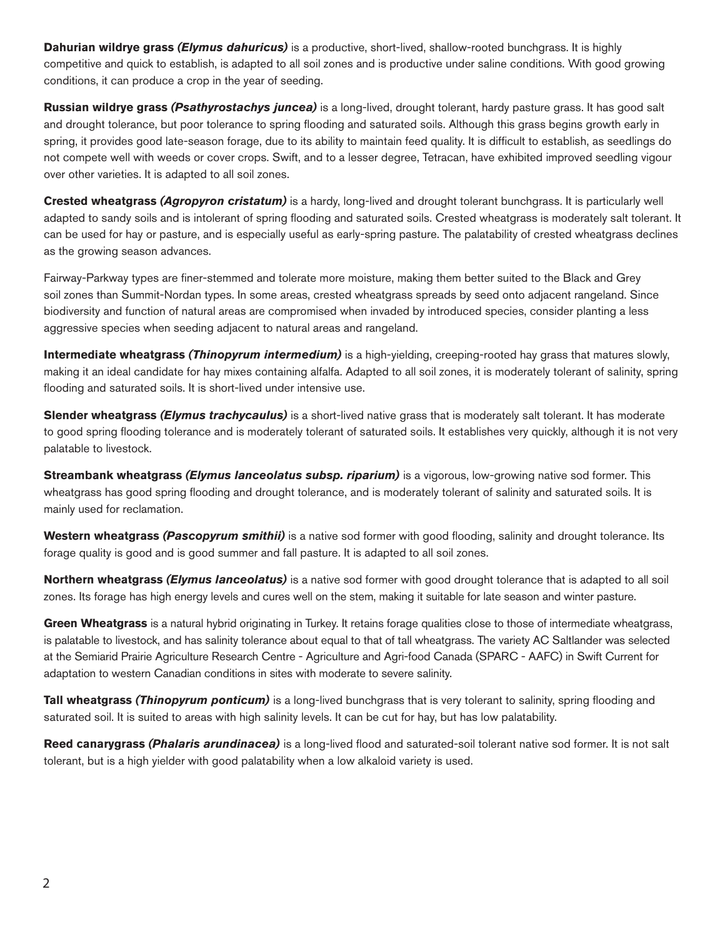**Dahurian wildrye grass** *(Elymus dahuricus)* is a productive, short-lived, shallow-rooted bunchgrass. It is highly competitive and quick to establish, is adapted to all soil zones and is productive under saline conditions. With good growing conditions, it can produce a crop in the year of seeding.

**Russian wildrye grass** *(Psathyrostachys juncea)* is a long-lived, drought tolerant, hardy pasture grass. It has good salt and drought tolerance, but poor tolerance to spring flooding and saturated soils. Although this grass begins growth early in spring, it provides good late-season forage, due to its ability to maintain feed quality. It is difficult to establish, as seedlings do not compete well with weeds or cover crops. Swift, and to a lesser degree, Tetracan, have exhibited improved seedling vigour over other varieties. It is adapted to all soil zones.

**Crested wheatgrass** *(Agropyron cristatum)* is a hardy, long-lived and drought tolerant bunchgrass. It is particularly well adapted to sandy soils and is intolerant of spring flooding and saturated soils. Crested wheatgrass is moderately salt tolerant. It can be used for hay or pasture, and is especially useful as early-spring pasture. The palatability of crested wheatgrass declines as the growing season advances.

Fairway-Parkway types are finer-stemmed and tolerate more moisture, making them better suited to the Black and Grey soil zones than Summit-Nordan types. In some areas, crested wheatgrass spreads by seed onto adjacent rangeland. Since biodiversity and function of natural areas are compromised when invaded by introduced species, consider planting a less aggressive species when seeding adjacent to natural areas and rangeland.

**Intermediate wheatgrass** *(Thinopyrum intermedium)* is a high-yielding, creeping-rooted hay grass that matures slowly, making it an ideal candidate for hay mixes containing alfalfa. Adapted to all soil zones, it is moderately tolerant of salinity, spring flooding and saturated soils. It is short-lived under intensive use.

**Slender wheatgrass** *(Elymus trachycaulus)* is a short-lived native grass that is moderately salt tolerant. It has moderate to good spring flooding tolerance and is moderately tolerant of saturated soils. It establishes very quickly, although it is not very palatable to livestock.

**Streambank wheatgrass** *(Elymus lanceolatus subsp. riparium)* is a vigorous, low-growing native sod former. This wheatgrass has good spring flooding and drought tolerance, and is moderately tolerant of salinity and saturated soils. It is mainly used for reclamation.

**Western wheatgrass** *(Pascopyrum smithii)* is a native sod former with good flooding, salinity and drought tolerance. Its forage quality is good and is good summer and fall pasture. It is adapted to all soil zones.

**Northern wheatgrass** *(Elymus lanceolatus)* is a native sod former with good drought tolerance that is adapted to all soil zones. Its forage has high energy levels and cures well on the stem, making it suitable for late season and winter pasture.

**Green Wheatgrass** is a natural hybrid originating in Turkey. It retains forage qualities close to those of intermediate wheatgrass, is palatable to livestock, and has salinity tolerance about equal to that of tall wheatgrass. The variety AC Saltlander was selected at the Semiarid Prairie Agriculture Research Centre - Agriculture and Agri-food Canada (SPARC - AAFC) in Swift Current for adaptation to western Canadian conditions in sites with moderate to severe salinity.

Tall wheatgrass *(Thinopyrum ponticum)* is a long-lived bunchgrass that is very tolerant to salinity, spring flooding and saturated soil. It is suited to areas with high salinity levels. It can be cut for hay, but has low palatability.

**Reed canarygrass** *(Phalaris arundinacea)* is a long-lived flood and saturated-soil tolerant native sod former. It is not salt tolerant, but is a high yielder with good palatability when a low alkaloid variety is used.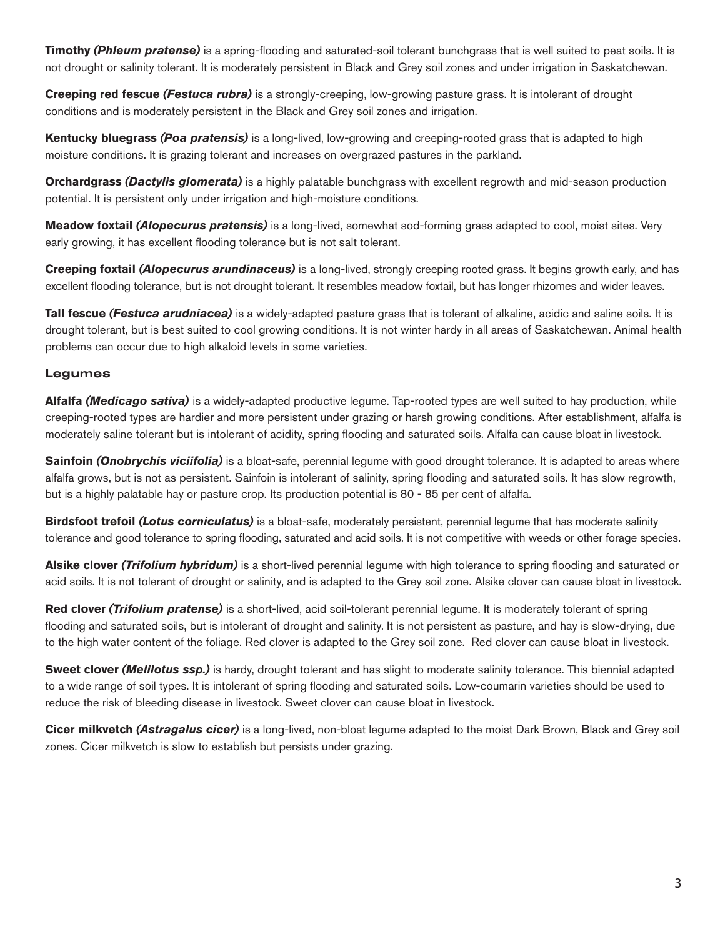**Timothy (Phleum pratense)** is a spring-flooding and saturated-soil tolerant bunchgrass that is well suited to peat soils. It is not drought or salinity tolerant. It is moderately persistent in Black and Grey soil zones and under irrigation in Saskatchewan.

**Creeping red fescue** *(Festuca rubra)* is a strongly-creeping, low-growing pasture grass. It is intolerant of drought conditions and is moderately persistent in the Black and Grey soil zones and irrigation.

**Kentucky bluegrass** *(Poa pratensis)* is a long-lived, low-growing and creeping-rooted grass that is adapted to high moisture conditions. It is grazing tolerant and increases on overgrazed pastures in the parkland.

**Orchardgrass** *(Dactylis glomerata)* is a highly palatable bunchgrass with excellent regrowth and mid-season production potential. It is persistent only under irrigation and high-moisture conditions.

**Meadow foxtail** *(Alopecurus pratensis)* is a long-lived, somewhat sod-forming grass adapted to cool, moist sites. Very early growing, it has excellent flooding tolerance but is not salt tolerant.

**Creeping foxtail** *(Alopecurus arundinaceus)* is a long-lived, strongly creeping rooted grass. It begins growth early, and has excellent flooding tolerance, but is not drought tolerant. It resembles meadow foxtail, but has longer rhizomes and wider leaves.

**Tall fescue** *(Festuca arudniacea)* is a widely-adapted pasture grass that is tolerant of alkaline, acidic and saline soils. It is drought tolerant, but is best suited to cool growing conditions. It is not winter hardy in all areas of Saskatchewan. Animal health problems can occur due to high alkaloid levels in some varieties.

## Legumes

**Alfalfa** *(Medicago sativa)* is a widely-adapted productive legume. Tap-rooted types are well suited to hay production, while creeping-rooted types are hardier and more persistent under grazing or harsh growing conditions. After establishment, alfalfa is moderately saline tolerant but is intolerant of acidity, spring flooding and saturated soils. Alfalfa can cause bloat in livestock.

**Sainfoin** *(Onobrychis viciifolia)* is a bloat-safe, perennial legume with good drought tolerance. It is adapted to areas where alfalfa grows, but is not as persistent. Sainfoin is intolerant of salinity, spring flooding and saturated soils. It has slow regrowth, but is a highly palatable hay or pasture crop. Its production potential is 80 - 85 per cent of alfalfa.

**Birdsfoot trefoil** *(Lotus corniculatus)* is a bloat-safe, moderately persistent, perennial legume that has moderate salinity tolerance and good tolerance to spring flooding, saturated and acid soils. It is not competitive with weeds or other forage species.

Alsike clover *(Trifolium hybridum)* is a short-lived perennial legume with high tolerance to spring flooding and saturated or acid soils. It is not tolerant of drought or salinity, and is adapted to the Grey soil zone. Alsike clover can cause bloat in livestock.

**Red clover** *(Trifolium pratense)* is a short-lived, acid soil-tolerant perennial legume. It is moderately tolerant of spring flooding and saturated soils, but is intolerant of drought and salinity. It is not persistent as pasture, and hay is slow-drying, due to the high water content of the foliage. Red clover is adapted to the Grey soil zone. Red clover can cause bloat in livestock.

**Sweet clover (Melilotus ssp.)** is hardy, drought tolerant and has slight to moderate salinity tolerance. This biennial adapted to a wide range of soil types. It is intolerant of spring flooding and saturated soils. Low-coumarin varieties should be used to reduce the risk of bleeding disease in livestock. Sweet clover can cause bloat in livestock.

**Cicer milkvetch** *(Astragalus cicer)* is a long-lived, non-bloat legume adapted to the moist Dark Brown, Black and Grey soil zones. Cicer milkvetch is slow to establish but persists under grazing.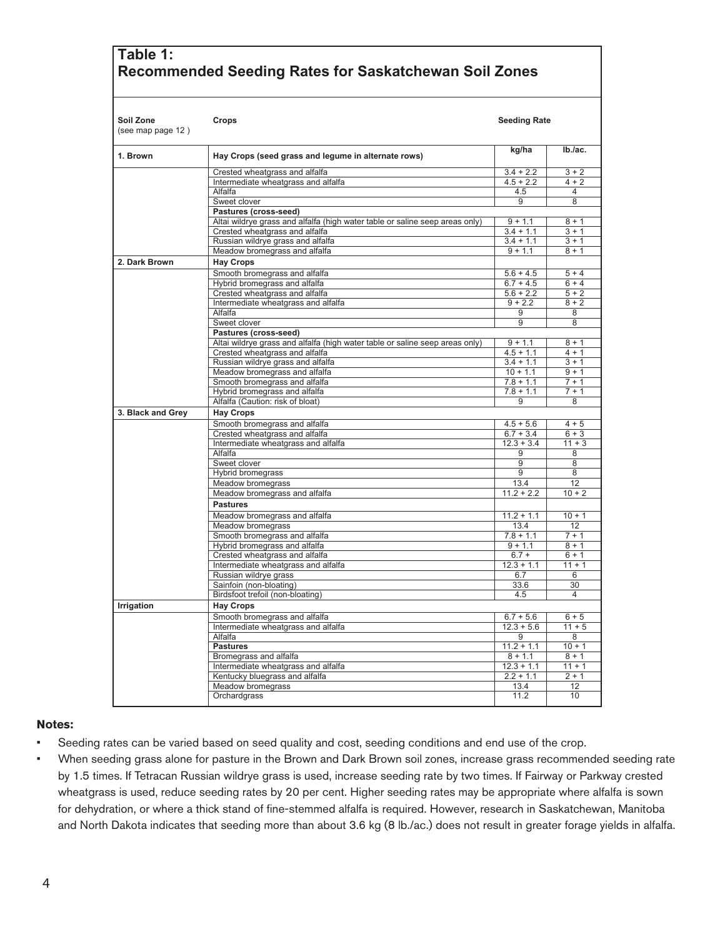## **Table 1: Recommended Seeding Rates for Saskatchewan Soil Zones**

| Soil Zone<br>(see map page 12) | Crops                                                                        | <b>Seeding Rate</b> |                     |  |
|--------------------------------|------------------------------------------------------------------------------|---------------------|---------------------|--|
| 1. Brown                       | Hay Crops (seed grass and legume in alternate rows)                          | kg/ha               | Ib./ac.             |  |
|                                | Crested wheatgrass and alfalfa                                               | $3.4 + 2.2$         | $3 + 2$             |  |
|                                | Intermediate wheatgrass and alfalfa                                          | $4.5 + 2.2$         | $4 + 2$             |  |
|                                | Alfalfa                                                                      | 4.5                 | 4                   |  |
|                                | Sweet clover                                                                 | 9                   | 8                   |  |
|                                | Pastures (cross-seed)                                                        |                     |                     |  |
|                                | Altai wildrye grass and alfalfa (high water table or saline seep areas only) | $9 + 1.1$           | $8 + 1$             |  |
|                                | Crested wheatgrass and alfalfa                                               | $3.4 + 1.1$         | $3 + 1$             |  |
|                                | Russian wildrye grass and alfalfa                                            | $3.4 + 1.1$         | $3 + 1$             |  |
|                                | Meadow bromegrass and alfalfa                                                | $9 + 1.1$           | $8 + 1$             |  |
| 2. Dark Brown                  | <b>Hay Crops</b>                                                             |                     |                     |  |
|                                | Smooth bromegrass and alfalfa                                                | $5.6 + 4.5$         | $5 + 4$             |  |
|                                | Hybrid bromegrass and alfalfa                                                | $6.7 + 4.5$         | $6 + 4$             |  |
|                                | Crested wheatgrass and alfalfa                                               | $5.6 + 2.2$         | $5 + 2$             |  |
|                                | Intermediate wheatgrass and alfalfa                                          | $9 + 2.2$           | $8 + 2$             |  |
|                                | Alfalfa                                                                      | 9                   | 8                   |  |
|                                | Sweet clover                                                                 | 9                   | 8                   |  |
|                                | Pastures (cross-seed)                                                        |                     |                     |  |
|                                | Altai wildrye grass and alfalfa (high water table or saline seep areas only) | $9 + 1.1$           | $8 + 1$             |  |
|                                | Crested wheatgrass and alfalfa                                               | $4.5 + 1.1$         | $\frac{1}{4}$ + 1   |  |
|                                | Russian wildrye grass and alfalfa                                            | $3.4 + 1.1$         | $3 + 1$             |  |
|                                | Meadow bromegrass and alfalfa                                                | $10 + 1.1$          | $9 + 1$             |  |
|                                | Smooth bromegrass and alfalfa                                                | $7.8 + 1.1$         | $7 + 1$<br>$7 + 1$  |  |
|                                | Hybrid bromegrass and alfalfa<br>Alfalfa (Caution: risk of bloat)            | $7.8 + 1.1$<br>9    | 8                   |  |
|                                |                                                                              |                     |                     |  |
| 3. Black and Grey              | <b>Hay Crops</b>                                                             |                     |                     |  |
|                                | Smooth bromegrass and alfalfa                                                | $4.5 + 5.6$         | $4 + 5$             |  |
|                                | Crested wheatgrass and alfalfa                                               | $6.7 + 3.4$         | $6 + 3$             |  |
|                                | Intermediate wheatgrass and alfalfa                                          | $12.3 + 3.4$        | $11 + 3$            |  |
|                                | Alfalfa                                                                      | 9                   | 8                   |  |
|                                | Sweet clover                                                                 | 9<br>9              | 8<br>8              |  |
|                                | Hybrid bromegrass<br>Meadow bromegrass                                       | 13.4                | 12                  |  |
|                                | Meadow bromegrass and alfalfa                                                | $11.2 + 2.2$        | $10 + 2$            |  |
|                                |                                                                              |                     |                     |  |
|                                | <b>Pastures</b>                                                              |                     |                     |  |
|                                | Meadow bromegrass and alfalfa                                                | $11.2 + 1.1$        | $10 + 1$            |  |
|                                | Meadow bromegrass                                                            | 13.4                | 12                  |  |
|                                | Smooth bromegrass and alfalfa                                                | $7.8 + 1.1$         | $7 + 1$             |  |
|                                | Hybrid bromegrass and alfalfa                                                | $9 + 1.1$           | $8 + 1$             |  |
|                                | Crested wheatgrass and alfalfa                                               | $6.7 +$             | $6 + 1$<br>$11 + 1$ |  |
|                                | Intermediate wheatgrass and alfalfa                                          | $12.3 + 1.1$<br>6.7 | 6                   |  |
|                                | Russian wildrye grass<br>Sainfoin (non-bloating)                             | 33.6                | 30                  |  |
|                                | Birdsfoot trefoil (non-bloating)                                             | 4.5                 | 4                   |  |
|                                |                                                                              |                     |                     |  |
| Irrigation                     | <b>Hay Crops</b>                                                             |                     |                     |  |
|                                | Smooth bromegrass and alfalfa                                                | $6.7 + 5.6$         | $6 + 5$             |  |
|                                | Intermediate wheatgrass and alfalfa                                          | $12.3 + 5.6$        | $11 + 5$            |  |
|                                | Alfalfa                                                                      | 9                   | 8                   |  |
|                                | <b>Pastures</b>                                                              | $11.2 + 1.1$        | $10 + 1$            |  |
|                                | Bromegrass and alfalfa                                                       | $8 + 1.1$           | $8 + 1$             |  |
|                                | Intermediate wheatgrass and alfalfa                                          | $12.3 + 1.1$        | $11 + 1$            |  |
|                                | Kentucky bluegrass and alfalfa                                               | $2.2 + 1.1$         | $2 + 1$             |  |
|                                | Meadow bromegrass                                                            | 13.4                | 12                  |  |
|                                | Orchardgrass                                                                 | 11.2                | 10                  |  |

#### **Notes:**

- Seeding rates can be varied based on seed quality and cost, seeding conditions and end use of the crop.
- When seeding grass alone for pasture in the Brown and Dark Brown soil zones, increase grass recommended seeding rate by 1.5 times. If Tetracan Russian wildrye grass is used, increase seeding rate by two times. If Fairway or Parkway crested wheatgrass is used, reduce seeding rates by 20 per cent. Higher seeding rates may be appropriate where alfalfa is sown for dehydration, or where a thick stand of fine-stemmed alfalfa is required. However, research in Saskatchewan, Manitoba and North Dakota indicates that seeding more than about 3.6 kg (8 lb./ac.) does not result in greater forage yields in alfalfa.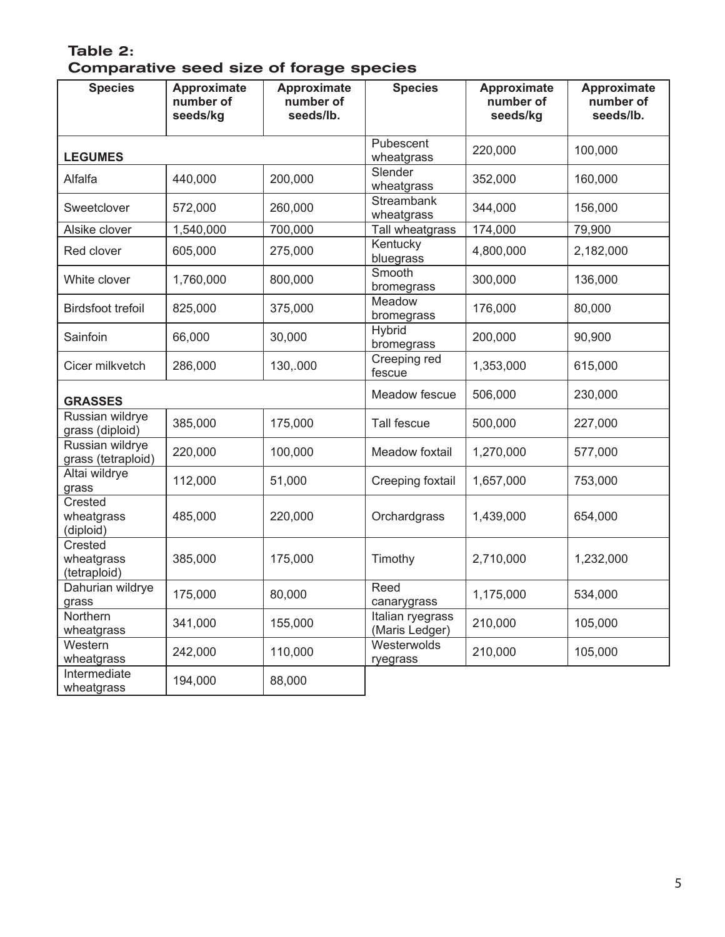## Table 2: Comparative seed size of forage species

| <b>Species</b>                        | Approximate<br>number of<br>seeds/kg | Approximate<br>number of<br>seeds/lb. | <b>Species</b>                     | <b>Approximate</b><br>number of<br>seeds/kg | <b>Approximate</b><br>number of<br>seeds/lb. |
|---------------------------------------|--------------------------------------|---------------------------------------|------------------------------------|---------------------------------------------|----------------------------------------------|
| <b>LEGUMES</b>                        |                                      |                                       | Pubescent<br>wheatgrass            | 220,000                                     | 100,000                                      |
| Alfalfa                               | 440,000                              | 200,000                               | Slender<br>wheatgrass              | 352,000                                     | 160,000                                      |
| Sweetclover                           | 572,000                              | 260,000                               | Streambank<br>wheatgrass           | 344,000                                     | 156,000                                      |
| Alsike clover                         | 1,540,000                            | 700,000                               | Tall wheatgrass                    | 174,000                                     | 79,900                                       |
| Red clover                            | 605,000                              | 275,000                               | Kentucky<br>bluegrass              | 4,800,000                                   | 2,182,000                                    |
| White clover                          | 1,760,000                            | 800,000                               | Smooth<br>bromegrass               | 300,000                                     | 136,000                                      |
| <b>Birdsfoot trefoil</b>              | 825,000                              | 375,000                               | Meadow<br>bromegrass               | 176,000                                     | 80,000                                       |
| Sainfoin                              | 66,000                               | 30,000                                | Hybrid<br>bromegrass               | 200,000                                     | 90,900                                       |
| Cicer milkvetch                       | 286,000                              | 130,.000                              | Creeping red<br>fescue             | 1,353,000                                   | 615,000                                      |
| <b>GRASSES</b>                        |                                      |                                       | Meadow fescue                      | 506,000                                     | 230,000                                      |
| Russian wildrye<br>grass (diploid)    | 385,000                              | 175,000                               | Tall fescue                        | 500,000                                     | 227,000                                      |
| Russian wildrye<br>grass (tetraploid) | 220,000                              | 100,000                               | Meadow foxtail                     | 1,270,000                                   | 577,000                                      |
| Altai wildrye<br>grass                | 112,000                              | 51,000                                | Creeping foxtail                   | 1,657,000                                   | 753,000                                      |
| Crested<br>wheatgrass<br>(diploid)    | 485,000                              | 220,000                               | Orchardgrass                       | 1,439,000                                   | 654,000                                      |
| Crested<br>wheatgrass<br>(tetraploid) | 385,000                              | 175,000                               | Timothy                            | 2,710,000                                   | 1,232,000                                    |
| Dahurian wildrye<br>grass             | 175,000                              | 80,000                                | Reed<br>canarygrass                | 1,175,000                                   | 534,000                                      |
| Northern<br>wheatgrass                | 341,000                              | 155,000                               | Italian ryegrass<br>(Maris Ledger) | 210,000                                     | 105,000                                      |
| Western<br>wheatgrass                 | 242,000                              | 110,000                               | Westerwolds<br>ryegrass            | 210,000                                     | 105,000                                      |
| Intermediate<br>wheatgrass            | 194,000                              | 88,000                                |                                    |                                             |                                              |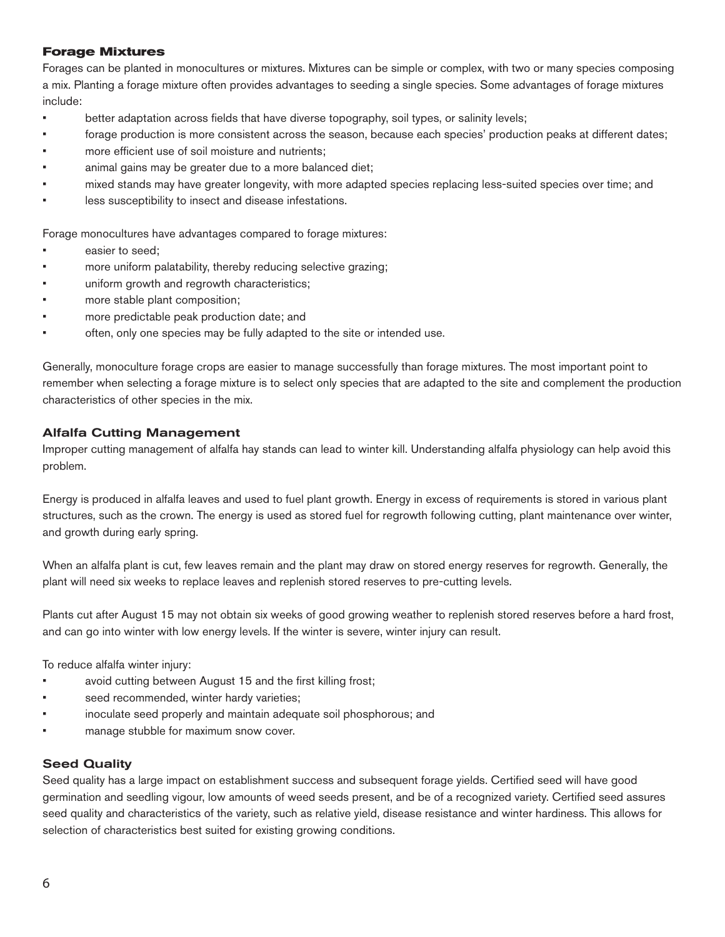## **Forage Mixtures**

Forages can be planted in monocultures or mixtures. Mixtures can be simple or complex, with two or many species composing a mix. Planting a forage mixture often provides advantages to seeding a single species. Some advantages of forage mixtures include:

- better adaptation across fields that have diverse topography, soil types, or salinity levels;
- forage production is more consistent across the season, because each species' production peaks at different dates;
- more efficient use of soil moisture and nutrients:
- animal gains may be greater due to a more balanced diet;
- mixed stands may have greater longevity, with more adapted species replacing less-suited species over time; and
- less susceptibility to insect and disease infestations.

Forage monocultures have advantages compared to forage mixtures:

- easier to seed:
- more uniform palatability, thereby reducing selective grazing;
- uniform growth and regrowth characteristics;
- more stable plant composition;
- more predictable peak production date; and
- often, only one species may be fully adapted to the site or intended use.

Generally, monoculture forage crops are easier to manage successfully than forage mixtures. The most important point to remember when selecting a forage mixture is to select only species that are adapted to the site and complement the production characteristics of other species in the mix.

#### Alfalfa Cutting Management

Improper cutting management of alfalfa hay stands can lead to winter kill. Understanding alfalfa physiology can help avoid this problem.

Energy is produced in alfalfa leaves and used to fuel plant growth. Energy in excess of requirements is stored in various plant structures, such as the crown. The energy is used as stored fuel for regrowth following cutting, plant maintenance over winter, and growth during early spring.

When an alfalfa plant is cut, few leaves remain and the plant may draw on stored energy reserves for regrowth. Generally, the plant will need six weeks to replace leaves and replenish stored reserves to pre-cutting levels.

Plants cut after August 15 may not obtain six weeks of good growing weather to replenish stored reserves before a hard frost, and can go into winter with low energy levels. If the winter is severe, winter injury can result.

To reduce alfalfa winter injury:

- avoid cutting between August 15 and the first killing frost;
- seed recommended, winter hardy varieties;
- inoculate seed properly and maintain adequate soil phosphorous; and
- manage stubble for maximum snow cover.

## Seed Quality

Seed quality has a large impact on establishment success and subsequent forage yields. Certified seed will have good germination and seedling vigour, low amounts of weed seeds present, and be of a recognized variety. Certified seed assures seed quality and characteristics of the variety, such as relative yield, disease resistance and winter hardiness. This allows for selection of characteristics best suited for existing growing conditions.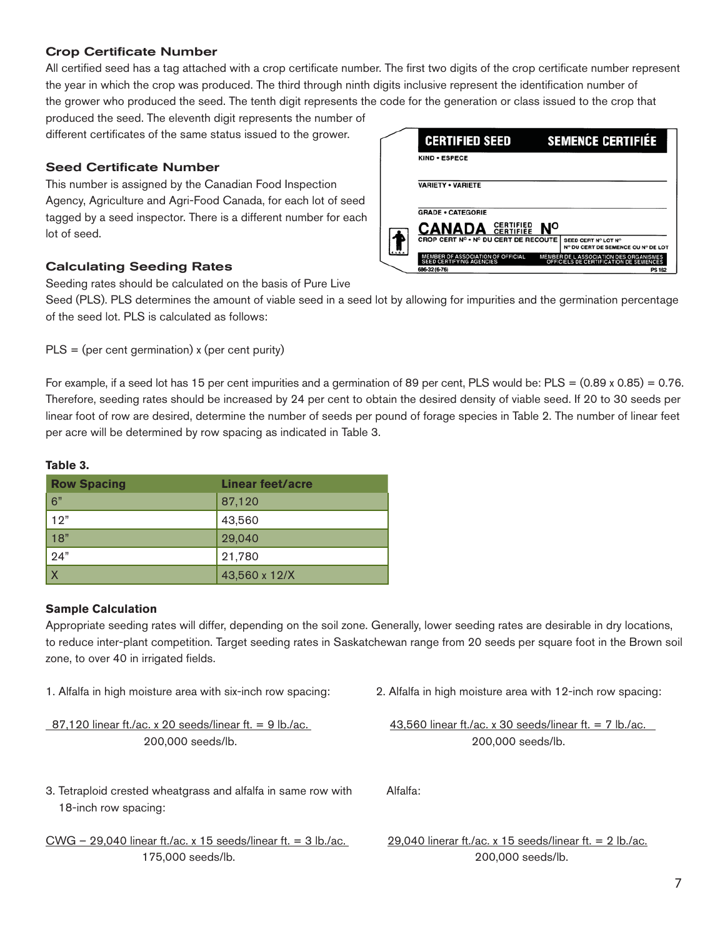## **Crop Certificate Number**

All certified seed has a tag attached with a crop certificate number. The first two digits of the crop certificate number represent the year in which the crop was produced. The third through ninth digits inclusive represent the identification number of the grower who produced the seed. The tenth digit represents the code for the generation or class issued to the crop that

produced the seed. The eleventh digit represents the number of different certificates of the same status issued to the grower.

## **Seed Certificate Number**

This number is assigned by the Canadian Food Inspection Agency, Agriculture and Agri-Food Canada, for each lot of seed tagged by a seed inspector. There is a different number for each lot of seed.

## Calculating Seeding Rates

Seeding rates should be calculated on the basis of Pure Live

Seed (PLS). PLS determines the amount of viable seed in a seed lot by allowing for impurities and the germination percentage of the seed lot. PLS is calculated as follows:

 $PLS = (per cent germination)$  x (per cent purity)

For example, if a seed lot has 15 per cent impurities and a germination of 89 per cent, PLS would be:  $PLS = (0.89 \times 0.85) = 0.76$ . Therefore, seeding rates should be increased by 24 per cent to obtain the desired density of viable seed. If 20 to 30 seeds per linear foot of row are desired, determine the number of seeds per pound of forage species in Table 2. The number of linear feet per acre will be determined by row spacing as indicated in Table 3.

## **Table 3.**

| <b>Row Spacing</b>      | <b>Linear feet/acre</b> |
|-------------------------|-------------------------|
| 6"                      | 87,120                  |
| 12"                     | 43,560                  |
| 18"                     | 29,040                  |
| 24"                     | 21,780                  |
| $\overline{\mathsf{X}}$ | 43,560 x 12/X           |

## **Sample Calculation**

Appropriate seeding rates will differ, depending on the soil zone. Generally, lower seeding rates are desirable in dry locations, to reduce inter-plant competition. Target seeding rates in Saskatchewan range from 20 seeds per square foot in the Brown soil zone, to over 40 in irrigated fields.

87,120 linear ft./ac. x 20 seeds/linear ft. = 9 lb./ac. 43,560 linear ft./ac. x 30 seeds/linear ft. = 7 lb./ac.

| <b>VARIETY . VARIETE</b>                                                    |           |                                                                                  |
|-----------------------------------------------------------------------------|-----------|----------------------------------------------------------------------------------|
| <b>GRADE • CATEGORIE</b>                                                    |           |                                                                                  |
| <b>CANADA SERTIFIED</b>                                                     | <b>No</b> |                                                                                  |
| CROP CERT Nº • Nº DU CERT DE RECOUTE                                        |           | SEED CERT Nº LOT Nº<br>Nº DU CERT DE SEMENCE OU Nº DE LOT                        |
| <b>MEMBER OF ASSOCIATION OF OFFICIAL</b><br><b>SEED CERTIFYING AGENCIES</b> |           | MEMBER DE L'ASSOCIATION DES ORGANISMES<br>OFFICIELS DE CERTIFICATION DE SEMENCES |

**SEMENCE CERTIFIÉE** 

**CERTIFIED SEED** 

1. Alfalfa in high moisture area with six-inch row spacing: 2. Alfalfa in high moisture area with 12-inch row spacing:

200,000 seeds/lb. 200,000 seeds/lb.

3. Tetraploid crested wheatgrass and alfalfa in same row with Alfalfa: 18-inch row spacing:

```
CWG – 29,040 linear ft./ac. x 15 seeds/linear ft. = 3 lb./ac. 29,040 linerar ft./ac. x 15 seeds/linear ft. = 2 lb./ac.
175,000 seeds/lb. 200,000 seeds/lb. 7
```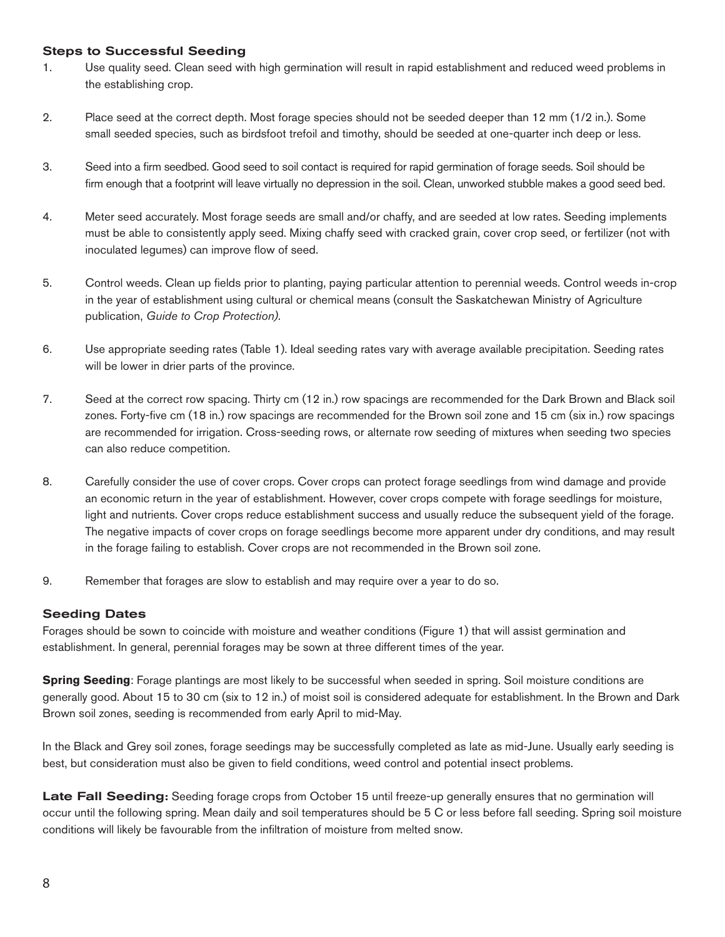## Steps to Successful Seeding

- 1. Use quality seed. Clean seed with high germination will result in rapid establishment and reduced weed problems in the establishing crop.
- 2. Place seed at the correct depth. Most forage species should not be seeded deeper than 12 mm (1/2 in.). Some small seeded species, such as birdsfoot trefoil and timothy, should be seeded at one-quarter inch deep or less.
- 3. Seed into a firm seedbed. Good seed to soil contact is required for rapid germination of forage seeds. Soil should be firm enough that a footprint will leave virtually no depression in the soil. Clean, unworked stubble makes a good seed bed.
- 4. Meter seed accurately. Most forage seeds are small and/or chaffy, and are seeded at low rates. Seeding implements must be able to consistently apply seed. Mixing chaffy seed with cracked grain, cover crop seed, or fertilizer (not with inoculated legumes) can improve flow of seed.
- 5. Control weeds. Clean up fields prior to planting, paying particular attention to perennial weeds. Control weeds in-crop in the year of establishment using cultural or chemical means (consult the Saskatchewan Ministry of Agriculture publication, *Guide to Crop Protection)*.
- 6. Use appropriate seeding rates (Table 1). Ideal seeding rates vary with average available precipitation. Seeding rates will be lower in drier parts of the province.
- 7. Seed at the correct row spacing. Thirty cm (12 in.) row spacings are recommended for the Dark Brown and Black soil zones. Forty-five cm (18 in.) row spacings are recommended for the Brown soil zone and 15 cm (six in.) row spacings are recommended for irrigation. Cross-seeding rows, or alternate row seeding of mixtures when seeding two species can also reduce competition.
- 8. Carefully consider the use of cover crops. Cover crops can protect forage seedlings from wind damage and provide an economic return in the year of establishment. However, cover crops compete with forage seedlings for moisture, light and nutrients. Cover crops reduce establishment success and usually reduce the subsequent yield of the forage. The negative impacts of cover crops on forage seedlings become more apparent under dry conditions, and may result in the forage failing to establish. Cover crops are not recommended in the Brown soil zone.
- 9. Remember that forages are slow to establish and may require over a year to do so.

## Seeding Dates

Forages should be sown to coincide with moisture and weather conditions (Figure 1) that will assist germination and establishment. In general, perennial forages may be sown at three different times of the year.

**Spring Seeding**: Forage plantings are most likely to be successful when seeded in spring. Soil moisture conditions are generally good. About 15 to 30 cm (six to 12 in.) of moist soil is considered adequate for establishment. In the Brown and Dark Brown soil zones, seeding is recommended from early April to mid-May.

In the Black and Grey soil zones, forage seedings may be successfully completed as late as mid-June. Usually early seeding is best, but consideration must also be given to field conditions, weed control and potential insect problems.

Late Fall Seeding: Seeding forage crops from October 15 until freeze-up generally ensures that no germination will occur until the following spring. Mean daily and soil temperatures should be 5 C or less before fall seeding. Spring soil moisture conditions will likely be favourable from the infiltration of moisture from melted snow.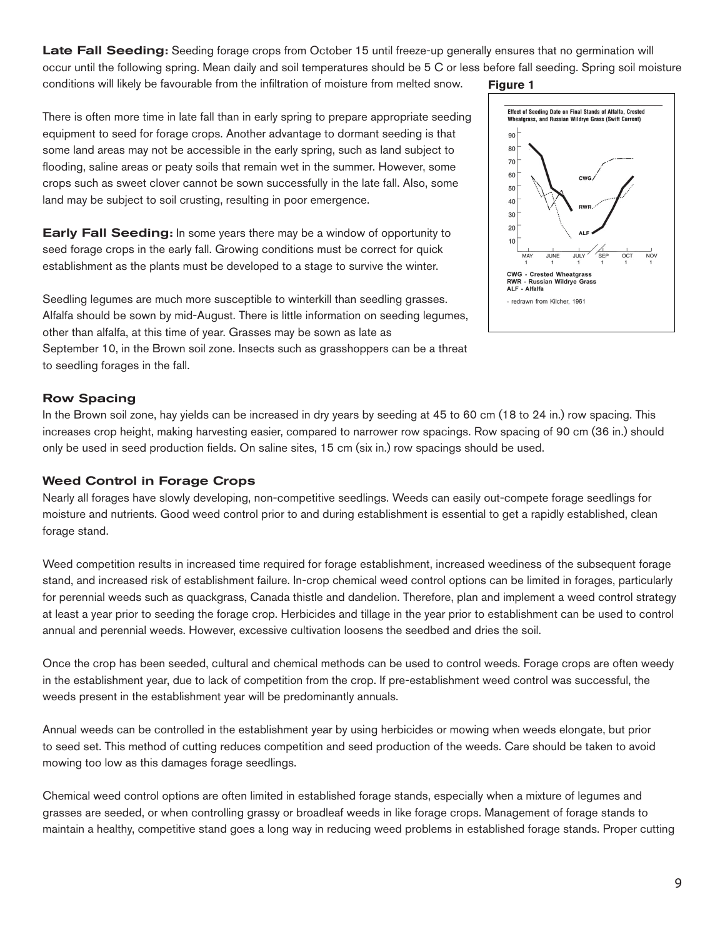Late Fall Seeding: Seeding forage crops from October 15 until freeze-up generally ensures that no germination will occur until the following spring. Mean daily and soil temperatures should be 5 C or less before fall seeding. Spring soil moisture conditions will likely be favourable from the infiltration of moisture from melted snow. **Figure 1**

There is often more time in late fall than in early spring to prepare appropriate seeding equipment to seed for forage crops. Another advantage to dormant seeding is that some land areas may not be accessible in the early spring, such as land subject to flooding, saline areas or peaty soils that remain wet in the summer. However, some crops such as sweet clover cannot be sown successfully in the late fall. Also, some land may be subject to soil crusting, resulting in poor emergence.

Early Fall Seeding: In some years there may be a window of opportunity to seed forage crops in the early fall. Growing conditions must be correct for quick establishment as the plants must be developed to a stage to survive the winter.

Seedling legumes are much more susceptible to winterkill than seedling grasses. Alfalfa should be sown by mid-August. There is little information on seeding legumes, other than alfalfa, at this time of year. Grasses may be sown as late as September 10, in the Brown soil zone. Insects such as grasshoppers can be a threat to seedling forages in the fall.

## Row Spacing

In the Brown soil zone, hay yields can be increased in dry years by seeding at 45 to 60 cm (18 to 24 in.) row spacing. This increases crop height, making harvesting easier, compared to narrower row spacings. Row spacing of 90 cm (36 in.) should only be used in seed production fields. On saline sites, 15 cm (six in.) row spacings should be used.

## Weed Control in Forage Crops

Nearly all forages have slowly developing, non-competitive seedlings. Weeds can easily out-compete forage seedlings for moisture and nutrients. Good weed control prior to and during establishment is essential to get a rapidly established, clean forage stand.

Weed competition results in increased time required for forage establishment, increased weediness of the subsequent forage stand, and increased risk of establishment failure. In-crop chemical weed control options can be limited in forages, particularly for perennial weeds such as quackgrass, Canada thistle and dandelion. Therefore, plan and implement a weed control strategy at least a year prior to seeding the forage crop. Herbicides and tillage in the year prior to establishment can be used to control annual and perennial weeds. However, excessive cultivation loosens the seedbed and dries the soil.

Once the crop has been seeded, cultural and chemical methods can be used to control weeds. Forage crops are often weedy in the establishment year, due to lack of competition from the crop. If pre-establishment weed control was successful, the weeds present in the establishment year will be predominantly annuals.

Annual weeds can be controlled in the establishment year by using herbicides or mowing when weeds elongate, but prior to seed set. This method of cutting reduces competition and seed production of the weeds. Care should be taken to avoid mowing too low as this damages forage seedlings.

Chemical weed control options are often limited in established forage stands, especially when a mixture of legumes and grasses are seeded, or when controlling grassy or broadleaf weeds in like forage crops. Management of forage stands to maintain a healthy, competitive stand goes a long way in reducing weed problems in established forage stands. Proper cutting

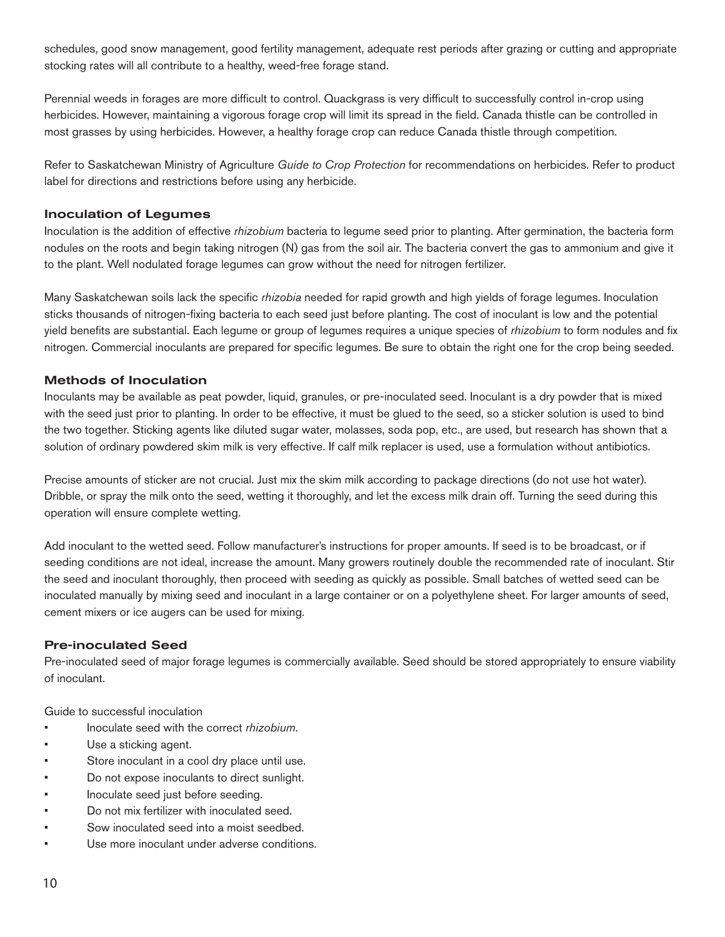schedules, good snow management, good fertility management, adequate rest periods after grazing or cutting and appropriate stocking rates will all contribute to a healthy, weed-free forage stand.

Perennial weeds in forages are more difficult to control. Quackgrass is very difficult to successfully control in-crop using herbicides. However, maintaining a vigorous forage crop will limit its spread in the field. Canada thistle can be controlled in most grasses by using herbicides. However, a healthy forage crop can reduce Canada thistle through competition.

Refer to Saskatchewan Ministry of Agriculture *Guide to Crop Protection* for recommendations on herbicides. Refer to product label for directions and restrictions before using any herbicide.

## Inoculation of Legumes

Inoculation is the addition of effective *rhizobium* bacteria to legume seed prior to planting. After germination, the bacteria form nodules on the roots and begin taking nitrogen (N) gas from the soil air. The bacteria convert the gas to ammonium and give it to the plant. Well nodulated forage legumes can grow without the need for nitrogen fertilizer.

Many Saskatchewan soils lack the specific *rhizobia* needed for rapid growth and high yields of forage legumes. Inoculation sticks thousands of nitrogen-fixing bacteria to each seed just before planting. The cost of inoculant is low and the potential yield benefits are substantial. Each legume or group of legumes requires a unique species of *rhizobium* to form nodules and fix nitrogen. Commercial inoculants are prepared for specific legumes. Be sure to obtain the right one for the crop being seeded.

## Methods of Inoculation

Inoculants may be available as peat powder, liquid, granules, or pre-inoculated seed. Inoculant is a dry powder that is mixed with the seed just prior to planting. In order to be effective, it must be glued to the seed, so a sticker solution is used to bind the two together. Sticking agents like diluted sugar water, molasses, soda pop, etc., are used, but research has shown that a solution of ordinary powdered skim milk is very effective. If calf milk replacer is used, use a formulation without antibiotics.

Precise amounts of sticker are not crucial. Just mix the skim milk according to package directions (do not use hot water). Dribble, or spray the milk onto the seed, wetting it thoroughly, and let the excess milk drain off. Turning the seed during this operation will ensure complete wetting.

Add inoculant to the wetted seed. Follow manufacturer's instructions for proper amounts. If seed is to be broadcast, or if seeding conditions are not ideal, increase the amount. Many growers routinely double the recommended rate of inoculant. Stir the seed and inoculant thoroughly, then proceed with seeding as quickly as possible. Small batches of wetted seed can be inoculated manually by mixing seed and inoculant in a large container or on a polyethylene sheet. For larger amounts of seed, cement mixers or ice augers can be used for mixing.

## Pre-inoculated Seed

Pre-inoculated seed of major forage legumes is commercially available. Seed should be stored appropriately to ensure viability of inoculant.

Guide to successful inoculation

- Inoculate seed with the correct *rhizobium*.
- Use a sticking agent.
- Store inoculant in a cool dry place until use.
- Do not expose inoculants to direct sunlight.
- Inoculate seed just before seeding.
- Do not mix fertilizer with inoculated seed.
- Sow inoculated seed into a moist seedbed.
- Use more inoculant under adverse conditions.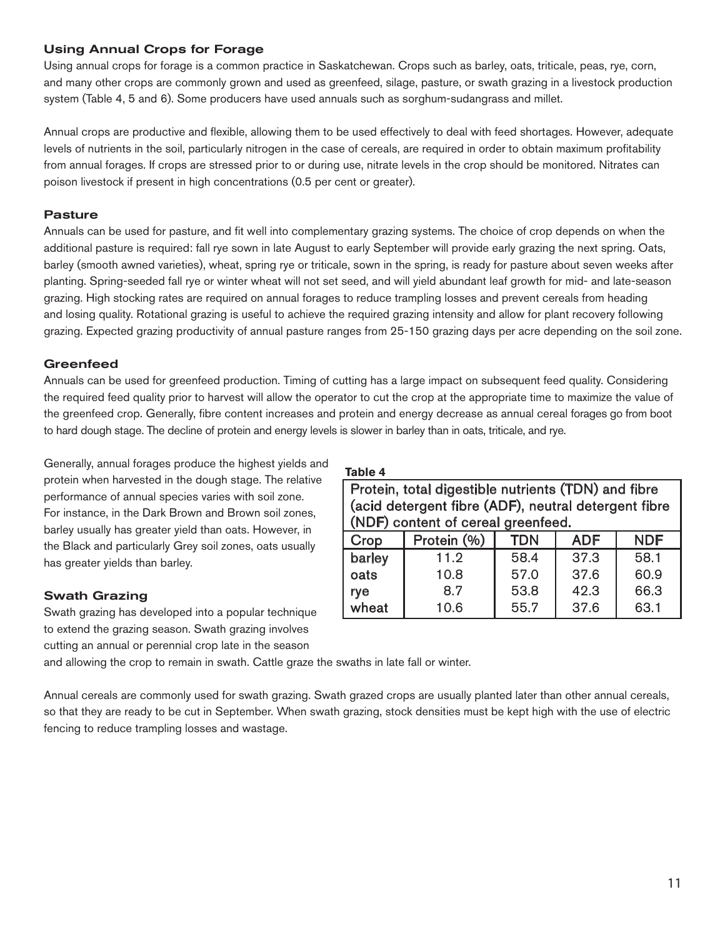## Using Annual Crops for Forage

Using annual crops for forage is a common practice in Saskatchewan. Crops such as barley, oats, triticale, peas, rye, corn, and many other crops are commonly grown and used as greenfeed, silage, pasture, or swath grazing in a livestock production system (Table 4, 5 and 6). Some producers have used annuals such as sorghum-sudangrass and millet.

Annual crops are productive and flexible, allowing them to be used effectively to deal with feed shortages. However, adequate levels of nutrients in the soil, particularly nitrogen in the case of cereals, are required in order to obtain maximum profitability from annual forages. If crops are stressed prior to or during use, nitrate levels in the crop should be monitored. Nitrates can poison livestock if present in high concentrations (0.5 per cent or greater).

## Pasture

Annuals can be used for pasture, and fit well into complementary grazing systems. The choice of crop depends on when the additional pasture is required: fall rye sown in late August to early September will provide early grazing the next spring. Oats, barley (smooth awned varieties), wheat, spring rye or triticale, sown in the spring, is ready for pasture about seven weeks after planting. Spring-seeded fall rye or winter wheat will not set seed, and will yield abundant leaf growth for mid- and late-season grazing. High stocking rates are required on annual forages to reduce trampling losses and prevent cereals from heading and losing quality. Rotational grazing is useful to achieve the required grazing intensity and allow for plant recovery following grazing. Expected grazing productivity of annual pasture ranges from 25-150 grazing days per acre depending on the soil zone.

## **Greenfeed**

Annuals can be used for greenfeed production. Timing of cutting has a large impact on subsequent feed quality. Considering the required feed quality prior to harvest will allow the operator to cut the crop at the appropriate time to maximize the value of the greenfeed crop. Generally, fibre content increases and protein and energy decrease as annual cereal forages go from boot to hard dough stage. The decline of protein and energy levels is slower in barley than in oats, triticale, and rye.

Generally, annual forages produce the highest yields and protein when harvested in the dough stage. The relative performance of annual species varies with soil zone. For instance, in the Dark Brown and Brown soil zones, barley usually has greater yield than oats. However, in the Black and particularly Grey soil zones, oats usually has greater yields than barley.

## Swath Grazing

Swath grazing has developed into a popular technique to extend the grazing season. Swath grazing involves cutting an annual or perennial crop late in the season

**Table 4**

| Protein, total digestible nutrients (TDN) and fibre<br>(acid detergent fibre (ADF), neutral detergent fibre |                                    |            |            |            |  |  |  |  |
|-------------------------------------------------------------------------------------------------------------|------------------------------------|------------|------------|------------|--|--|--|--|
|                                                                                                             | (NDF) content of cereal greenfeed. |            |            |            |  |  |  |  |
| Crop                                                                                                        | Protein (%)                        | <b>TDN</b> | <b>ADF</b> | <b>NDF</b> |  |  |  |  |
| barley                                                                                                      | 11.2                               | 58.4       | 37.3       | 58.1       |  |  |  |  |
| oats                                                                                                        | 60.9<br>57.0<br>37.6<br>10.8       |            |            |            |  |  |  |  |
| rye                                                                                                         | 8.7                                | 53.8       | 42.3       | 66.3       |  |  |  |  |
| wheat                                                                                                       | 10.6                               | 55.7       | 37.6       | 63.1       |  |  |  |  |

and allowing the crop to remain in swath. Cattle graze the swaths in late fall or winter.

Annual cereals are commonly used for swath grazing. Swath grazed crops are usually planted later than other annual cereals, so that they are ready to be cut in September. When swath grazing, stock densities must be kept high with the use of electric fencing to reduce trampling losses and wastage.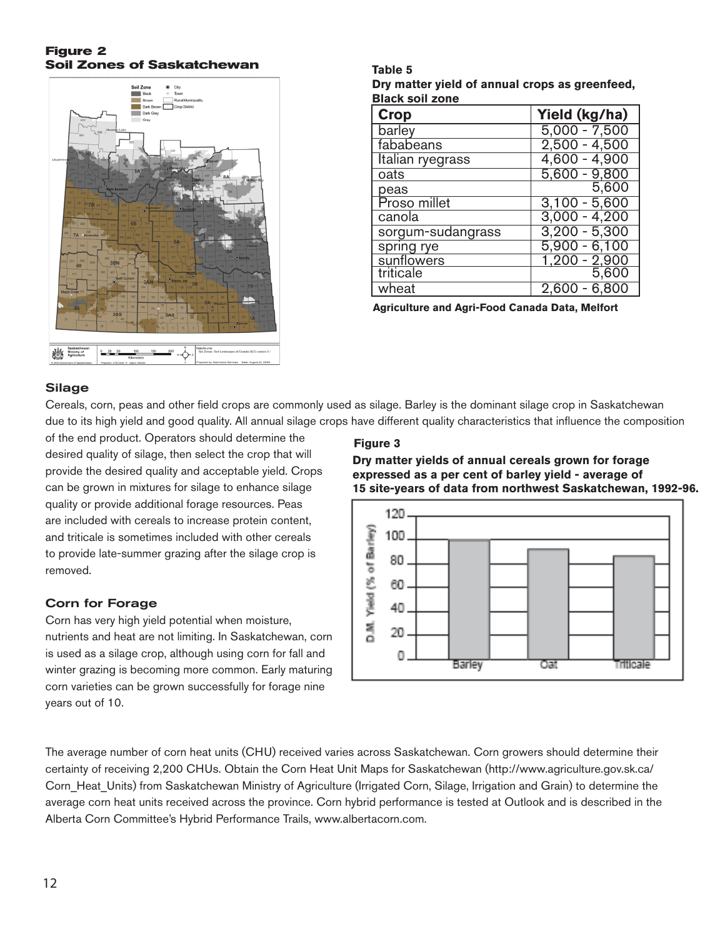## **Figure 2 Soil Zones of Saskatchewan**



**Table 5 Dry matter yield of annual crops as greenfeed, Black soil zone**

| <b>Crop</b>       | Yield (kg/ha)                 |
|-------------------|-------------------------------|
| barley            | $5,000 - 7,500$               |
| fababeans         | $2,500 - 4,500$               |
| Italian ryegrass  | $4,600 - 4,900$               |
| oats              | $5,600 - 9,800$               |
| peas              | 5,600                         |
| Proso millet      | $3,100 - 5,600$               |
| canola            | $3,000 - 4,200$               |
| sorgum-sudangrass | $3,200 - 5,300$               |
| spring rye        | $5,900 - 6,100$               |
| sunflowers        | $\frac{1,200 - 2,900}{5,600}$ |
| triticale         |                               |
| wheat             | $-6,8$                        |

**Agriculture and Agri-Food Canada Data, Melfort**

## **Silage**

Cereals, corn, peas and other field crops are commonly used as silage. Barley is the dominant silage crop in Saskatchewan due to its high yield and good quality. All annual silage crops have different quality characteristics that influence the composition

of the end product. Operators should determine the desired quality of silage, then select the crop that will provide the desired quality and acceptable yield. Crops can be grown in mixtures for silage to enhance silage quality or provide additional forage resources. Peas are included with cereals to increase protein content, and triticale is sometimes included with other cereals to provide late-summer grazing after the silage crop is removed.

## Corn for Forage

Corn has very high yield potential when moisture, nutrients and heat are not limiting. In Saskatchewan, corn is used as a silage crop, although using corn for fall and winter grazing is becoming more common. Early maturing corn varieties can be grown successfully for forage nine years out of 10.

## **Figure 3**

**Dry matter yields of annual cereals grown for forage expressed as a per cent of barley yield - average of 15 site-years of data from northwest Saskatchewan, 1992-96.**



The average number of corn heat units (CHU) received varies across Saskatchewan. Corn growers should determine their certainty of receiving 2,200 CHUs. Obtain the Corn Heat Unit Maps for Saskatchewan (http://www.agriculture.gov.sk.ca/ Corn\_Heat\_Units) from Saskatchewan Ministry of Agriculture (Irrigated Corn, Silage, Irrigation and Grain) to determine the average corn heat units received across the province. Corn hybrid performance is tested at Outlook and is described in the Alberta Corn Committee's Hybrid Performance Trails, www.albertacorn.com.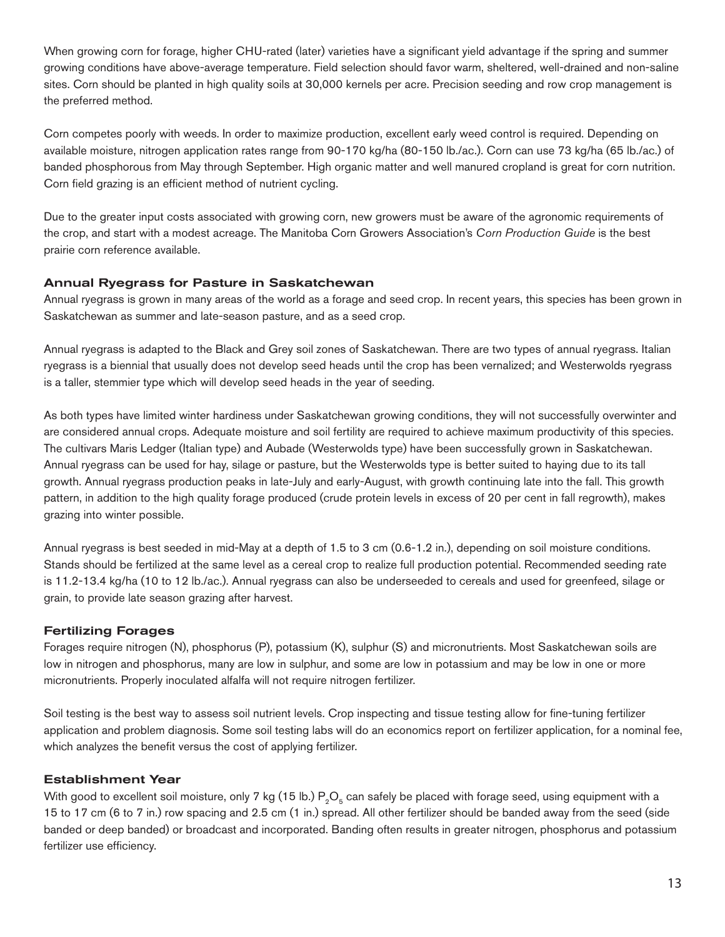When growing corn for forage, higher CHU-rated (later) varieties have a significant yield advantage if the spring and summer growing conditions have above-average temperature. Field selection should favor warm, sheltered, well-drained and non-saline sites. Corn should be planted in high quality soils at 30,000 kernels per acre. Precision seeding and row crop management is the preferred method.

Corn competes poorly with weeds. In order to maximize production, excellent early weed control is required. Depending on available moisture, nitrogen application rates range from 90-170 kg/ha (80-150 lb./ac.). Corn can use 73 kg/ha (65 lb./ac.) of banded phosphorous from May through September. High organic matter and well manured cropland is great for corn nutrition. Corn field grazing is an efficient method of nutrient cycling.

Due to the greater input costs associated with growing corn, new growers must be aware of the agronomic requirements of the crop, and start with a modest acreage. The Manitoba Corn Growers Association's *Corn Production Guide* is the best prairie corn reference available.

## Annual Ryegrass for Pasture in Saskatchewan

Annual ryegrass is grown in many areas of the world as a forage and seed crop. In recent years, this species has been grown in Saskatchewan as summer and late-season pasture, and as a seed crop.

Annual ryegrass is adapted to the Black and Grey soil zones of Saskatchewan. There are two types of annual ryegrass. Italian ryegrass is a biennial that usually does not develop seed heads until the crop has been vernalized; and Westerwolds ryegrass is a taller, stemmier type which will develop seed heads in the year of seeding.

As both types have limited winter hardiness under Saskatchewan growing conditions, they will not successfully overwinter and are considered annual crops. Adequate moisture and soil fertility are required to achieve maximum productivity of this species. The cultivars Maris Ledger (Italian type) and Aubade (Westerwolds type) have been successfully grown in Saskatchewan. Annual ryegrass can be used for hay, silage or pasture, but the Westerwolds type is better suited to haying due to its tall growth. Annual ryegrass production peaks in late-July and early-August, with growth continuing late into the fall. This growth pattern, in addition to the high quality forage produced (crude protein levels in excess of 20 per cent in fall regrowth), makes grazing into winter possible.

Annual ryegrass is best seeded in mid-May at a depth of 1.5 to 3 cm (0.6-1.2 in.), depending on soil moisture conditions. Stands should be fertilized at the same level as a cereal crop to realize full production potential. Recommended seeding rate is 11.2-13.4 kg/ha (10 to 12 lb./ac.). Annual ryegrass can also be underseeded to cereals and used for greenfeed, silage or grain, to provide late season grazing after harvest.

## Fertilizing Forages

Forages require nitrogen (N), phosphorus (P), potassium (K), sulphur (S) and micronutrients. Most Saskatchewan soils are low in nitrogen and phosphorus, many are low in sulphur, and some are low in potassium and may be low in one or more micronutrients. Properly inoculated alfalfa will not require nitrogen fertilizer.

Soil testing is the best way to assess soil nutrient levels. Crop inspecting and tissue testing allow for fine-tuning fertilizer application and problem diagnosis. Some soil testing labs will do an economics report on fertilizer application, for a nominal fee, which analyzes the benefit versus the cost of applying fertilizer.

## Establishment Year

With good to excellent soil moisture, only 7 kg (15 lb.)  $P_0O_5$  can safely be placed with forage seed, using equipment with a 15 to 17 cm (6 to 7 in.) row spacing and 2.5 cm (1 in.) spread. All other fertilizer should be banded away from the seed (side banded or deep banded) or broadcast and incorporated. Banding often results in greater nitrogen, phosphorus and potassium fertilizer use efficiency.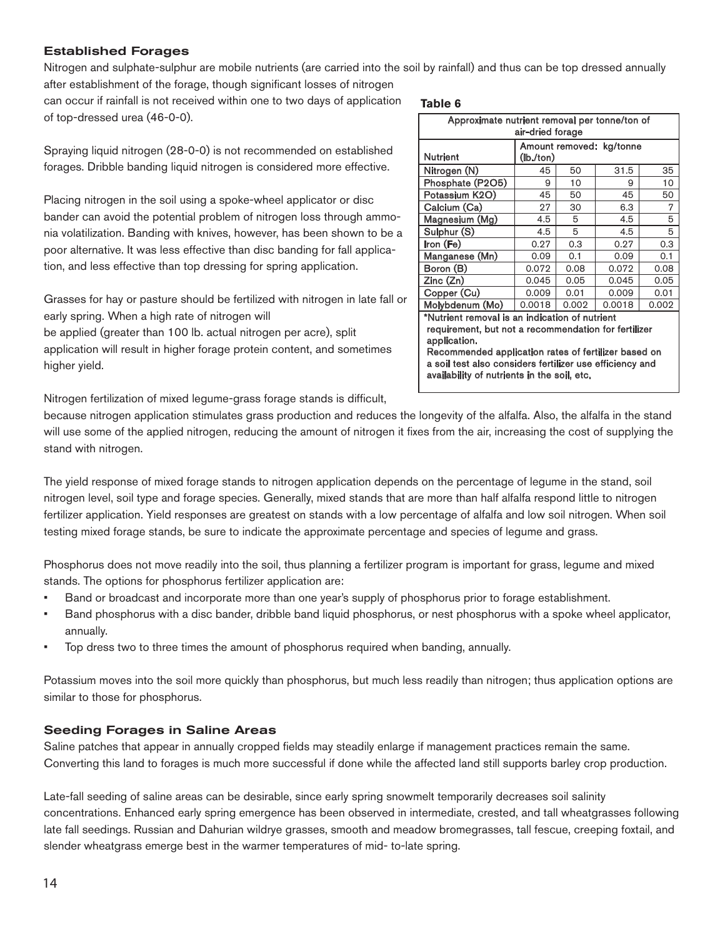## Established Forages

Nitrogen and sulphate-sulphur are mobile nutrients (are carried into the soil by rainfall) and thus can be top dressed annually after establishment of the forage, though significant losses of nitrogen

can occur if rainfall is not received within one to two days of application of top-dressed urea (46-0-0).

**Table 6**

| Spraying liquid nitrogen (28-0-0) is not recommended on established    |
|------------------------------------------------------------------------|
| forages. Dribble banding liquid nitrogen is considered more effective. |

Placing nitrogen in the soil using a spoke-wheel applicator or disc bander can avoid the potential problem of nitrogen loss through ammonia volatilization. Banding with knives, however, has been shown to be a poor alternative. It was less effective than disc banding for fall application, and less effective than top dressing for spring application.

Grasses for hay or pasture should be fertilized with nitrogen in late fall or early spring. When a high rate of nitrogen will be applied (greater than 100 lb. actual nitrogen per acre), split

application will result in higher forage protein content, and sometimes higher yield.

Nitrogen fertilization of mixed legume-grass forage stands is difficult,

because nitrogen application stimulates grass production and reduces the longevity of the alfalfa. Also, the alfalfa in the stand will use some of the applied nitrogen, reducing the amount of nitrogen it fixes from the air, increasing the cost of supplying the stand with nitrogen.

The yield response of mixed forage stands to nitrogen application depends on the percentage of legume in the stand, soil nitrogen level, soil type and forage species. Generally, mixed stands that are more than half alfalfa respond little to nitrogen fertilizer application. Yield responses are greatest on stands with a low percentage of alfalfa and low soil nitrogen. When soil testing mixed forage stands, be sure to indicate the approximate percentage and species of legume and grass.

Phosphorus does not move readily into the soil, thus planning a fertilizer program is important for grass, legume and mixed stands. The options for phosphorus fertilizer application are:

- Band or broadcast and incorporate more than one year's supply of phosphorus prior to forage establishment.
- Band phosphorus with a disc bander, dribble band liquid phosphorus, or nest phosphorus with a spoke wheel applicator, annually.
- Top dress two to three times the amount of phosphorus required when banding, annually.

Potassium moves into the soil more quickly than phosphorus, but much less readily than nitrogen; thus application options are similar to those for phosphorus.

## Seeding Forages in Saline Areas

Saline patches that appear in annually cropped fields may steadily enlarge if management practices remain the same. Converting this land to forages is much more successful if done while the affected land still supports barley crop production.

Late-fall seeding of saline areas can be desirable, since early spring snowmelt temporarily decreases soil salinity concentrations. Enhanced early spring emergence has been observed in intermediate, crested, and tall wheatgrasses following late fall seedings. Russian and Dahurian wildrye grasses, smooth and meadow bromegrasses, tall fescue, creeping foxtail, and slender wheatgrass emerge best in the warmer temperatures of mid- to-late spring.

<sup>14</sup> **ACROPS GRICULTURE** 

| ιαυισ υ                                        |                          |       |        |       |  |  |  |  |
|------------------------------------------------|--------------------------|-------|--------|-------|--|--|--|--|
| Approximate nutrient removal per tonne/ton of  |                          |       |        |       |  |  |  |  |
| air-dried forage                               |                          |       |        |       |  |  |  |  |
|                                                | Amount removed: kg/tonne |       |        |       |  |  |  |  |
| <b>Nutrient</b>                                | (lb./ton)                |       |        |       |  |  |  |  |
| Nitrogen (N)                                   | 45                       | 50    | 31.5   | 35    |  |  |  |  |
| Phosphate (P2O5)                               | 9                        | 10    | 9      | 10    |  |  |  |  |
| Potassium K2O)                                 | 45                       | 50    | 45     | 50    |  |  |  |  |
| Calcium (Ca)                                   | 27                       | 30    | 6.3    | 7     |  |  |  |  |
| Magnesium (Mg)                                 | 4.5<br>4.5<br>5<br>5     |       |        |       |  |  |  |  |
| Sulphur (S)                                    | 4.5                      | 5     | 4.5    | 5     |  |  |  |  |
| Iron (Fe)                                      | 0.27                     | 0.3   | 0.27   | 0.3   |  |  |  |  |
| Manganese (Mn)                                 | 0.09                     | 0.1   | 0.09   | 0.1   |  |  |  |  |
| Boron (B)                                      | 0.072                    | 0.08  | 0.072  | 0.08  |  |  |  |  |
| Zinc (Zn)                                      | 0.045                    | 0.05  | 0.045  | 0.05  |  |  |  |  |
| Copper (Cu)                                    | 0.009                    | 0.01  | 0.009  | 0.01  |  |  |  |  |
| Molybdenum (Mo)                                | 0.0018                   | 0.002 | 0.0018 | 0.002 |  |  |  |  |
| *Nutrient removal is an indication of nutrient |                          |       |        |       |  |  |  |  |
|                                                |                          |       |        |       |  |  |  |  |

requirement, but not a recommendation for fertilizer application. Recommended application rates of fertilizer based on

a soil test also considers fertilizer use efficiency and availability of nutrients in the soil, etc.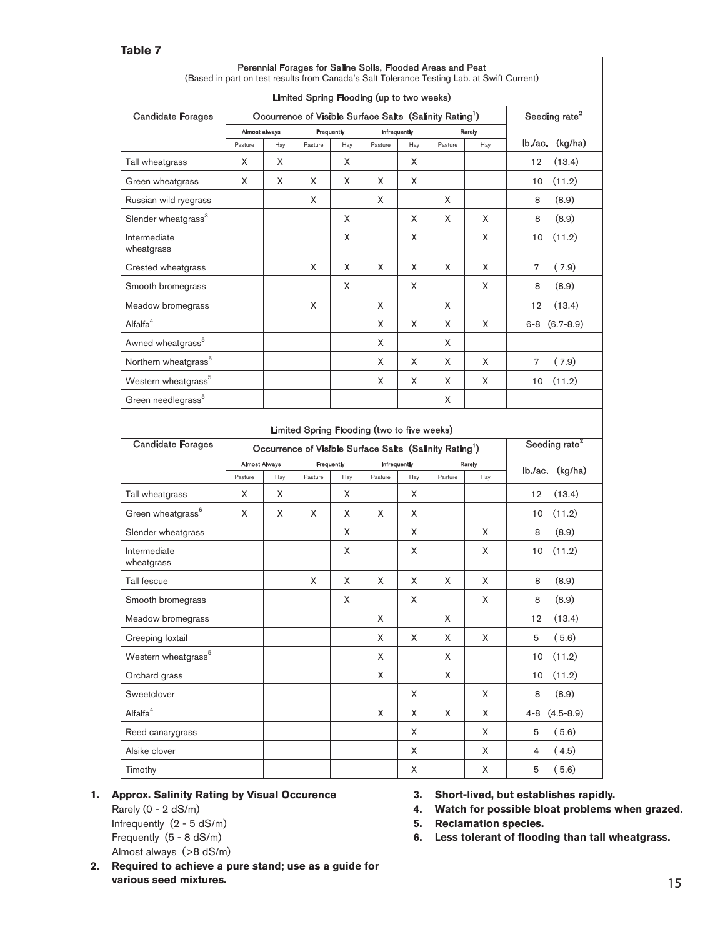| Table 7                                                                                                                                                                                                                                                                                                                            |                                                                                            |     |            |             |                                                                                                                    |     |         |                           |                           |
|------------------------------------------------------------------------------------------------------------------------------------------------------------------------------------------------------------------------------------------------------------------------------------------------------------------------------------|--------------------------------------------------------------------------------------------|-----|------------|-------------|--------------------------------------------------------------------------------------------------------------------|-----|---------|---------------------------|---------------------------|
|                                                                                                                                                                                                                                                                                                                                    | (Based in part on test results from Canada's Salt Tolerance Testing Lab. at Swift Current) |     |            |             | Perennial Forages for Saline Soils, Flooded Areas and Peat                                                         |     |         |                           |                           |
|                                                                                                                                                                                                                                                                                                                                    |                                                                                            |     |            |             | Limited Spring Flooding (up to two weeks)                                                                          |     |         |                           |                           |
| <b>Candidate Forages</b>                                                                                                                                                                                                                                                                                                           | Occurrence of Visible Surface Salts (Salinity Rating <sup>1</sup> )                        |     |            |             |                                                                                                                    |     |         | Seeding rate <sup>2</sup> |                           |
|                                                                                                                                                                                                                                                                                                                                    | Almost always                                                                              |     | Frequently |             | Infrequently                                                                                                       |     |         | Rarely                    |                           |
|                                                                                                                                                                                                                                                                                                                                    | Pasture                                                                                    | Hay | Pasture    | Hay         | Pasture                                                                                                            | Hay | Pasture | Hay                       | (kg/ha)<br>lb./ac.        |
| Tall wheatgrass                                                                                                                                                                                                                                                                                                                    | X                                                                                          | X   |            | X           |                                                                                                                    | X   |         |                           | (13.4)<br>12              |
| Green wheatgrass                                                                                                                                                                                                                                                                                                                   | X                                                                                          | X   | X          | X           | X                                                                                                                  | X   |         |                           | 10<br>(11.2)              |
| Russian wild ryegrass                                                                                                                                                                                                                                                                                                              |                                                                                            |     | X          |             | X                                                                                                                  |     | X       |                           | 8<br>(8.9)                |
| Slender wheatgrass <sup>3</sup>                                                                                                                                                                                                                                                                                                    |                                                                                            |     |            | X           |                                                                                                                    | X   | X       | X                         | 8<br>(8.9)                |
| Intermediate<br>wheatgrass                                                                                                                                                                                                                                                                                                         |                                                                                            |     |            | X           |                                                                                                                    | X   |         | X                         | 10<br>(11.2)              |
| Crested wheatgrass                                                                                                                                                                                                                                                                                                                 |                                                                                            |     | X          | X           | X                                                                                                                  | X   | X       | X                         | 7<br>(7.9)                |
| Smooth bromegrass                                                                                                                                                                                                                                                                                                                  |                                                                                            |     |            | Χ           |                                                                                                                    | X   |         | X                         | 8<br>(8.9)                |
| Meadow bromegrass                                                                                                                                                                                                                                                                                                                  |                                                                                            |     | X          |             | X                                                                                                                  |     | X       |                           | 12<br>(13.4)              |
| Alfalfa <sup>4</sup>                                                                                                                                                                                                                                                                                                               |                                                                                            |     |            |             | X                                                                                                                  | X   | X       | X                         | $6-8$ $(6.7-8.9)$         |
| Awned wheatgrass <sup>5</sup>                                                                                                                                                                                                                                                                                                      |                                                                                            |     |            |             | X                                                                                                                  |     | X       |                           |                           |
| Northern wheatgrass <sup>5</sup>                                                                                                                                                                                                                                                                                                   |                                                                                            |     |            |             | X                                                                                                                  | X   | X       | X                         | 7<br>(7.9)                |
| Western wheatgrass <sup>5</sup>                                                                                                                                                                                                                                                                                                    |                                                                                            |     |            |             | X                                                                                                                  | X   | X       | X                         | (11.2)<br>10              |
|                                                                                                                                                                                                                                                                                                                                    |                                                                                            |     |            |             |                                                                                                                    |     |         |                           |                           |
|                                                                                                                                                                                                                                                                                                                                    |                                                                                            |     |            |             |                                                                                                                    |     | X       |                           |                           |
| <b>Candidate Forages</b>                                                                                                                                                                                                                                                                                                           |                                                                                            |     |            |             | Limited Spring Flooding (two to five weeks)<br>Occurrence of Visible Surface Salts (Salinity Rating <sup>1</sup> ) |     |         |                           | Seeding rate <sup>2</sup> |
|                                                                                                                                                                                                                                                                                                                                    | <b>Almost Always</b>                                                                       |     | Frequently |             | Infrequently                                                                                                       |     |         | Rarely                    |                           |
|                                                                                                                                                                                                                                                                                                                                    | Pasture                                                                                    | Hay | Pasture    | Hay         | Pasture                                                                                                            | Hay | Pasture | Hay                       | $lb$ ./ac. $(kg/ha)$      |
|                                                                                                                                                                                                                                                                                                                                    | X                                                                                          | X   |            | X           |                                                                                                                    | X.  |         |                           | 12<br>(13.4)              |
|                                                                                                                                                                                                                                                                                                                                    | X                                                                                          | Χ   | X          | X           | X                                                                                                                  | X   |         |                           | (11.2)<br>10              |
|                                                                                                                                                                                                                                                                                                                                    |                                                                                            |     |            | X           |                                                                                                                    | X   |         | X                         | 8<br>(8.9)                |
|                                                                                                                                                                                                                                                                                                                                    |                                                                                            |     |            | X           |                                                                                                                    | X   |         | X                         | (11.2)<br>10              |
|                                                                                                                                                                                                                                                                                                                                    |                                                                                            |     | Χ          | X           | Χ                                                                                                                  | Χ   | Χ       | Χ                         | (8.9)<br>8                |
|                                                                                                                                                                                                                                                                                                                                    |                                                                                            |     |            | $\mathsf X$ |                                                                                                                    | X   |         | Χ                         | (8.9)<br>8                |
|                                                                                                                                                                                                                                                                                                                                    |                                                                                            |     |            |             | X                                                                                                                  |     | X       |                           | (13.4)<br>12              |
|                                                                                                                                                                                                                                                                                                                                    |                                                                                            |     |            |             | X                                                                                                                  | Χ   | X       | X                         | (5.6)<br>5                |
|                                                                                                                                                                                                                                                                                                                                    |                                                                                            |     |            |             | X                                                                                                                  |     | X       |                           | (11.2)<br>10              |
|                                                                                                                                                                                                                                                                                                                                    |                                                                                            |     |            |             | X                                                                                                                  |     | X       |                           | (11.2)<br>10              |
|                                                                                                                                                                                                                                                                                                                                    |                                                                                            |     |            |             |                                                                                                                    | X   |         | X                         | 8<br>(8.9)                |
|                                                                                                                                                                                                                                                                                                                                    |                                                                                            |     |            |             | X                                                                                                                  | X   | X       | X                         | $(4.5 - 8.9)$<br>4-8      |
| Green needlegrass <sup>5</sup><br>Tall wheatgrass<br>Green wheatgrass <sup>6</sup><br>Slender wheatgrass<br>Intermediate<br>wheatgrass<br>Tall fescue<br>Smooth bromegrass<br>Meadow bromegrass<br>Creeping foxtail<br>Western wheatgrass <sup>5</sup><br>Orchard grass<br>Sweetclover<br>Alfalfa <sup>4</sup><br>Reed canarygrass |                                                                                            |     |            |             |                                                                                                                    | Χ   |         | X                         | (5.6)<br>5                |
| Alsike clover                                                                                                                                                                                                                                                                                                                      |                                                                                            |     |            |             |                                                                                                                    | X   |         | X                         | (4.5)<br>$\overline{4}$   |

#### **1. Approx. Salinity Rating by Visual Occurence**

 Rarely (0 - 2 dS/m) Infrequently (2 - 5 dS/m) Frequently (5 - 8 dS/m) Almost always (>8 dS/m) **3. Short-lived, but establishes rapidly.**

**4. Watch for possible bloat problems when grazed.** 

**5. Reclamation species.**

6. Less tolerant of flooding than tall wheatgrass.

various seed mixtures. **2. Required to achieve a pure stand; use as a guide for various seed mixtures.**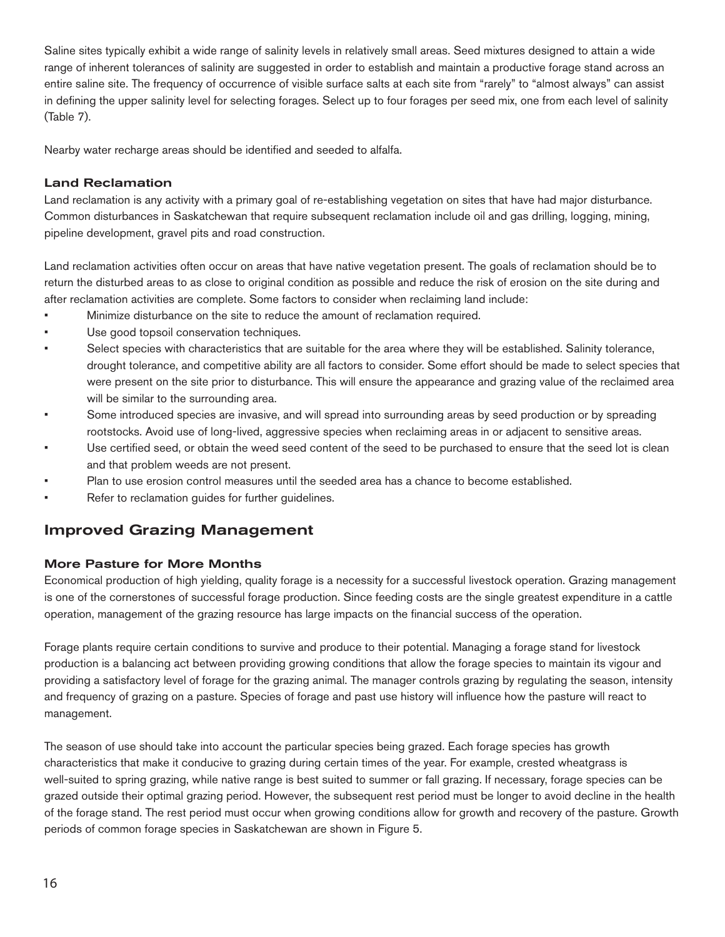Saline sites typically exhibit a wide range of salinity levels in relatively small areas. Seed mixtures designed to attain a wide range of inherent tolerances of salinity are suggested in order to establish and maintain a productive forage stand across an entire saline site. The frequency of occurrence of visible surface salts at each site from "rarely" to "almost always" can assist in defining the upper salinity level for selecting forages. Select up to four forages per seed mix, one from each level of salinity (Table 7).

Nearby water recharge areas should be identified and seeded to alfalfa.

## Land Reclamation

Land reclamation is any activity with a primary goal of re-establishing vegetation on sites that have had major disturbance. Common disturbances in Saskatchewan that require subsequent reclamation include oil and gas drilling, logging, mining, pipeline development, gravel pits and road construction.

Land reclamation activities often occur on areas that have native vegetation present. The goals of reclamation should be to return the disturbed areas to as close to original condition as possible and reduce the risk of erosion on the site during and after reclamation activities are complete. Some factors to consider when reclaiming land include:

- Minimize disturbance on the site to reduce the amount of reclamation required.
- Use good topsoil conservation techniques.
- Select species with characteristics that are suitable for the area where they will be established. Salinity tolerance, drought tolerance, and competitive ability are all factors to consider. Some effort should be made to select species that were present on the site prior to disturbance. This will ensure the appearance and grazing value of the reclaimed area will be similar to the surrounding area.
- Some introduced species are invasive, and will spread into surrounding areas by seed production or by spreading rootstocks. Avoid use of long-lived, aggressive species when reclaiming areas in or adjacent to sensitive areas.
- Use certified seed, or obtain the weed seed content of the seed to be purchased to ensure that the seed lot is clean and that problem weeds are not present.
- Plan to use erosion control measures until the seeded area has a chance to become established.
- Refer to reclamation guides for further guidelines.

## Improved Grazing Management

## More Pasture for More Months

Economical production of high yielding, quality forage is a necessity for a successful livestock operation. Grazing management is one of the cornerstones of successful forage production. Since feeding costs are the single greatest expenditure in a cattle operation, management of the grazing resource has large impacts on the financial success of the operation.

Forage plants require certain conditions to survive and produce to their potential. Managing a forage stand for livestock production is a balancing act between providing growing conditions that allow the forage species to maintain its vigour and providing a satisfactory level of forage for the grazing animal. The manager controls grazing by regulating the season, intensity and frequency of grazing on a pasture. Species of forage and past use history will influence how the pasture will react to management.

The season of use should take into account the particular species being grazed. Each forage species has growth characteristics that make it conducive to grazing during certain times of the year. For example, crested wheatgrass is well-suited to spring grazing, while native range is best suited to summer or fall grazing. If necessary, forage species can be grazed outside their optimal grazing period. However, the subsequent rest period must be longer to avoid decline in the health of the forage stand. The rest period must occur when growing conditions allow for growth and recovery of the pasture. Growth periods of common forage species in Saskatchewan are shown in Figure 5.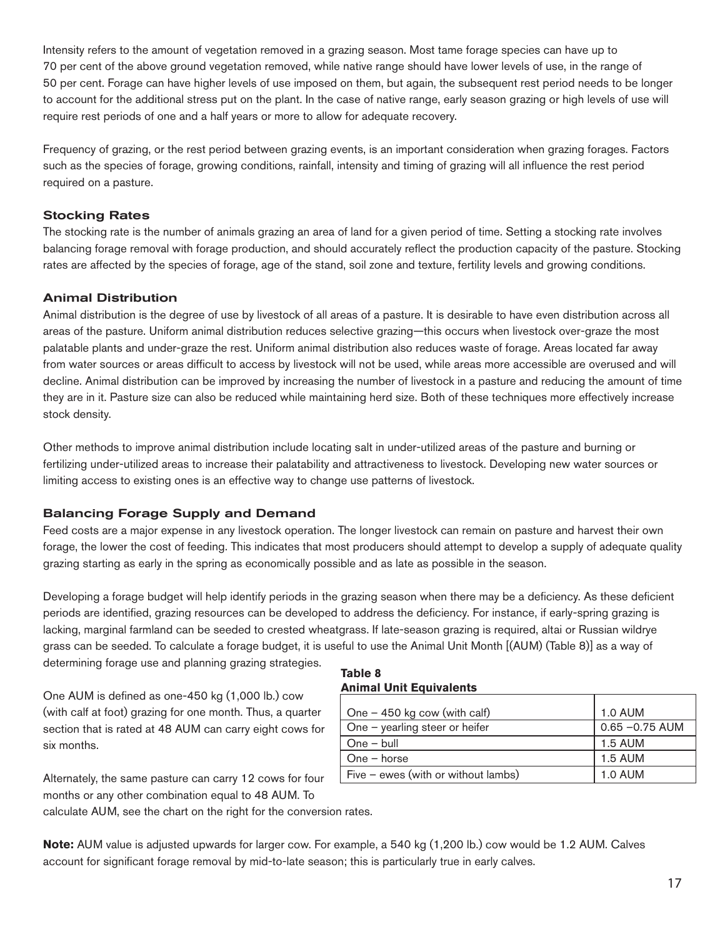Intensity refers to the amount of vegetation removed in a grazing season. Most tame forage species can have up to 70 per cent of the above ground vegetation removed, while native range should have lower levels of use, in the range of 50 per cent. Forage can have higher levels of use imposed on them, but again, the subsequent rest period needs to be longer to account for the additional stress put on the plant. In the case of native range, early season grazing or high levels of use will require rest periods of one and a half years or more to allow for adequate recovery.

Frequency of grazing, or the rest period between grazing events, is an important consideration when grazing forages. Factors such as the species of forage, growing conditions, rainfall, intensity and timing of grazing will all influence the rest period required on a pasture.

## Stocking Rates

The stocking rate is the number of animals grazing an area of land for a given period of time. Setting a stocking rate involves balancing forage removal with forage production, and should accurately reflect the production capacity of the pasture. Stocking rates are affected by the species of forage, age of the stand, soil zone and texture, fertility levels and growing conditions.

## Animal Distribution

Animal distribution is the degree of use by livestock of all areas of a pasture. It is desirable to have even distribution across all areas of the pasture. Uniform animal distribution reduces selective grazing—this occurs when livestock over-graze the most palatable plants and under-graze the rest. Uniform animal distribution also reduces waste of forage. Areas located far away from water sources or areas difficult to access by livestock will not be used, while areas more accessible are overused and will decline. Animal distribution can be improved by increasing the number of livestock in a pasture and reducing the amount of time they are in it. Pasture size can also be reduced while maintaining herd size. Both of these techniques more effectively increase stock density.

Other methods to improve animal distribution include locating salt in under-utilized areas of the pasture and burning or fertilizing under-utilized areas to increase their palatability and attractiveness to livestock. Developing new water sources or limiting access to existing ones is an effective way to change use patterns of livestock.

## Balancing Forage Supply and Demand

Feed costs are a major expense in any livestock operation. The longer livestock can remain on pasture and harvest their own forage, the lower the cost of feeding. This indicates that most producers should attempt to develop a supply of adequate quality grazing starting as early in the spring as economically possible and as late as possible in the season.

Developing a forage budget will help identify periods in the grazing season when there may be a deficiency. As these deficient periods are identified, grazing resources can be developed to address the deficiency. For instance, if early-spring grazing is lacking, marginal farmland can be seeded to crested wheatgrass. If late-season grazing is required, altai or Russian wildrye grass can be seeded. To calculate a forage budget, it is useful to use the Animal Unit Month [(AUM) (Table 8)] as a way of determining forage use and planning grazing strategies.

One AUM is defined as one-450 kg  $(1,000 \, \text{lb.})$  cow (with calf at foot) grazing for one month. Thus, a quarter section that is rated at 48 AUM can carry eight cows for six months.

## Alternately, the same pasture can carry 12 cows for four months or any other combination equal to 48 AUM. To

calculate AUM, see the chart on the right for the conversion rates.

**Table 8 Animal Unit Equivalents**

| One $-$ 450 kg cow (with calf)        | <b>1.0 AUM</b>    |
|---------------------------------------|-------------------|
| One $-$ yearling steer or heifer      | $0.65 - 0.75$ AUM |
| $One - bull$                          | 1.5 AUM           |
| $One - horse$                         | <b>1.5 AUM</b>    |
| Five $-$ ewes (with or without lambs) | <b>1.0 AUM</b>    |

**Note:** AUM value is adjusted upwards for larger cow. For example, a 540 kg (1,200 lb.) cow would be 1.2 AUM. Calves account for significant forage removal by mid-to-late season; this is particularly true in early calves.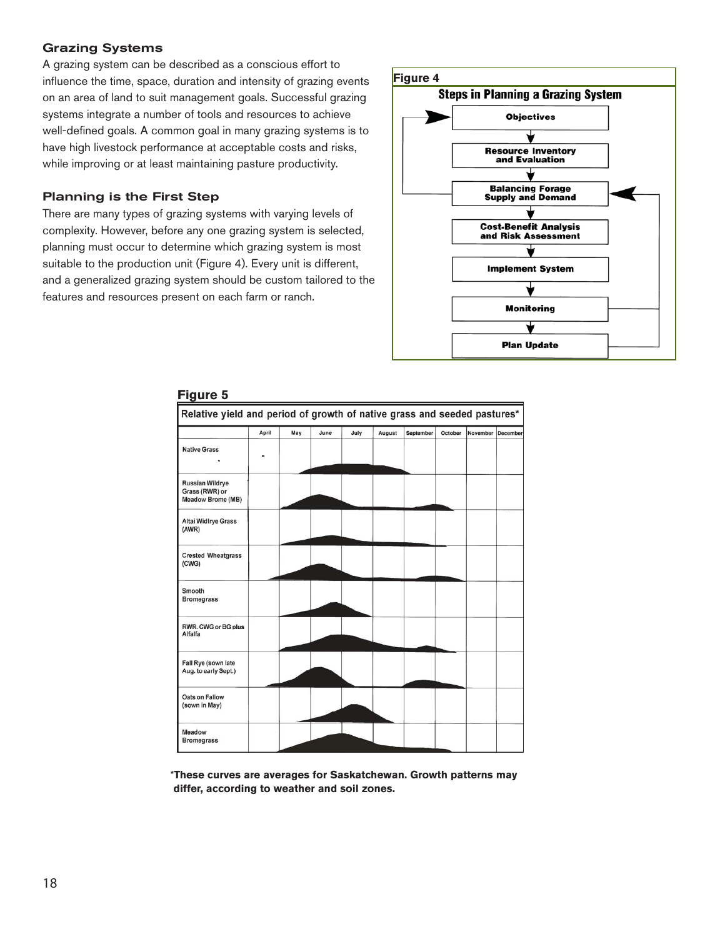## Grazing Systems

A grazing system can be described as a conscious effort to influence the time, space, duration and intensity of grazing events on an area of land to suit management goals. Successful grazing systems integrate a number of tools and resources to achieve well-defined goals. A common goal in many grazing systems is to have high livestock performance at acceptable costs and risks, while improving or at least maintaining pasture productivity.

## Planning is the First Step

There are many types of grazing systems with varying levels of complexity. However, before any one grazing system is selected, planning must occur to determine which grazing system is most suitable to the production unit (Figure 4). Every unit is different, and a generalized grazing system should be custom tailored to the features and resources present on each farm or ranch.



| <b>Figure 5</b>                                                          |       |     |      |      |        |           |         |          |                 |
|--------------------------------------------------------------------------|-------|-----|------|------|--------|-----------|---------|----------|-----------------|
| Relative yield and period of growth of native grass and seeded pastures* |       |     |      |      |        |           |         |          |                 |
|                                                                          | April | May | June | July | August | September | October | November | <b>December</b> |
| <b>Native Grass</b>                                                      |       |     |      |      |        |           |         |          |                 |
| <b>Russian Wildrye</b><br>Grass (RWR) or<br><b>Meadow Brome (MB)</b>     |       |     |      |      |        |           |         |          |                 |
| <b>Altai Widlrye Grass</b><br>(AWR)                                      |       |     |      |      |        |           |         |          |                 |
| <b>Crested Wheatgrass</b><br>(CWG)                                       |       |     |      |      |        |           |         |          |                 |
| Smooth<br><b>Bromegrass</b>                                              |       |     |      |      |        |           |         |          |                 |
| RWR, CWG or BG plus<br>Alfalfa                                           |       |     |      |      |        |           |         |          |                 |
| Fall Rye (sown late<br>Aug. to early Sept.)                              |       |     |      |      |        |           |         |          |                 |
| <b>Oats on Fallow</b><br>(sown in May)                                   |       |     |      |      |        |           |         |          |                 |
| Meadow<br><b>Bromegrass</b>                                              |       |     |      |      |        |           |         |          |                 |

#### **Figure 5**

 \***These curves are averages for Saskatchewan. Growth patterns may differ, according to weather and soil zones.**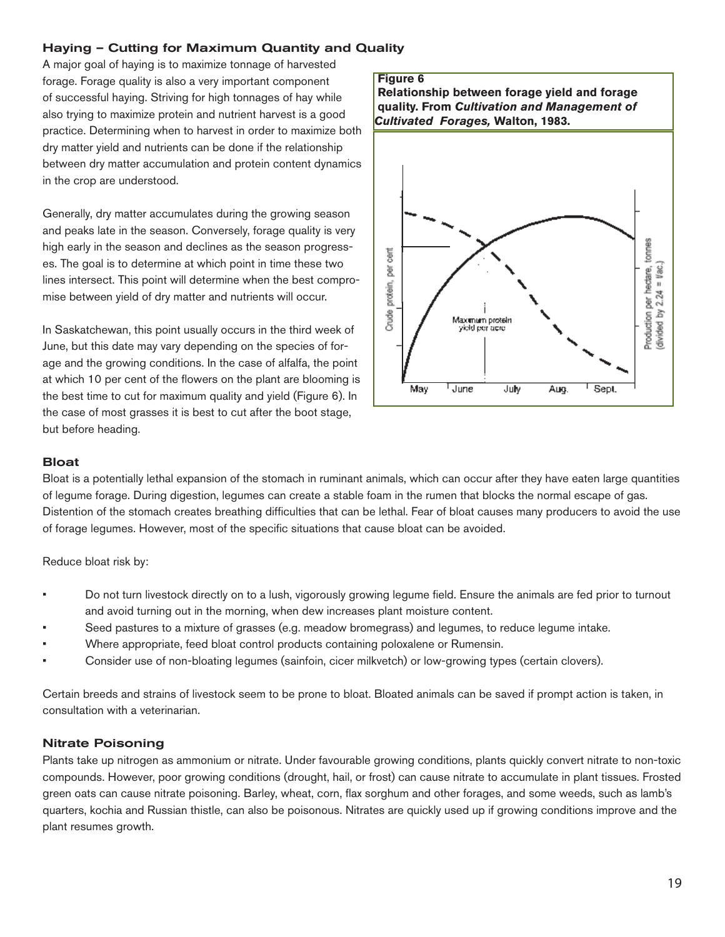## Haying – Cutting for Maximum Quantity and Quality

A major goal of haying is to maximize tonnage of harvested forage. Forage quality is also a very important component of successful haying. Striving for high tonnages of hay while also trying to maximize protein and nutrient harvest is a good practice. Determining when to harvest in order to maximize both dry matter yield and nutrients can be done if the relationship between dry matter accumulation and protein content dynamics in the crop are understood.

Generally, dry matter accumulates during the growing season and peaks late in the season. Conversely, forage quality is very high early in the season and declines as the season progresses. The goal is to determine at which point in time these two lines intersect. This point will determine when the best compromise between yield of dry matter and nutrients will occur.

In Saskatchewan, this point usually occurs in the third week of June, but this date may vary depending on the species of forage and the growing conditions. In the case of alfalfa, the point at which 10 per cent of the flowers on the plant are blooming is the best time to cut for maximum quality and yield (Figure 6). In the case of most grasses it is best to cut after the boot stage, but before heading.

## **Figure 6 Relationship between forage yield and forage quality. From** *Cultivation and Management of Cultivated Forages,* **Walton, 1983.**Production per hectare, tonnes per cent (divided by  $2.24 =$  #ac.) protein, Crude Maximum protein<br>yield per acre <sup>1</sup> June Sept. May July Aug.

#### Bloat

Bloat is a potentially lethal expansion of the stomach in ruminant animals, which can occur after they have eaten large quantities of legume forage. During digestion, legumes can create a stable foam in the rumen that blocks the normal escape of gas. Distention of the stomach creates breathing difficulties that can be lethal. Fear of bloat causes many producers to avoid the use of forage legumes. However, most of the specific situations that cause bloat can be avoided.

Reduce bloat risk by:

- Do not turn livestock directly on to a lush, vigorously growing legume field. Ensure the animals are fed prior to turnout and avoid turning out in the morning, when dew increases plant moisture content.
- Seed pastures to a mixture of grasses (e.g. meadow bromegrass) and legumes, to reduce legume intake.
- Where appropriate, feed bloat control products containing poloxalene or Rumensin.
- Consider use of non-bloating legumes (sainfoin, cicer milkvetch) or low-growing types (certain clovers).

Certain breeds and strains of livestock seem to be prone to bloat. Bloated animals can be saved if prompt action is taken, in consultation with a veterinarian.

## Nitrate Poisoning

Plants take up nitrogen as ammonium or nitrate. Under favourable growing conditions, plants quickly convert nitrate to non-toxic compounds. However, poor growing conditions (drought, hail, or frost) can cause nitrate to accumulate in plant tissues. Frosted green oats can cause nitrate poisoning. Barley, wheat, corn, flax sorghum and other forages, and some weeds, such as lamb's quarters, kochia and Russian thistle, can also be poisonous. Nitrates are quickly used up if growing conditions improve and the plant resumes growth.